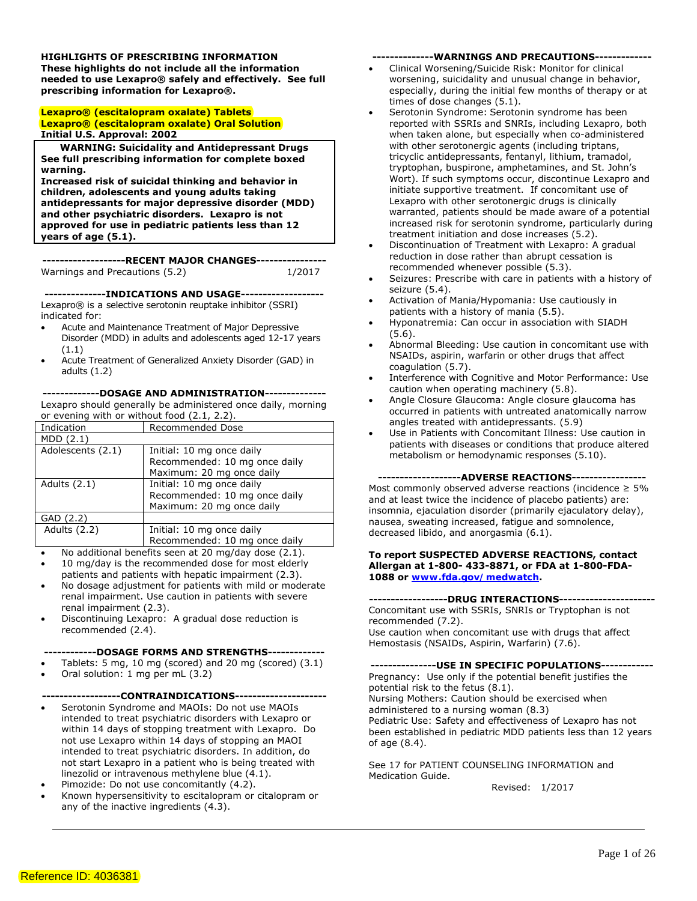#### **needed to use Lexapro® safely and effectively. See full HIGHLIGHTS OF PRESCRIBING INFORMATION These highlights do not include all the information prescribing information for Lexapro®.**

#### **Lexapro® (escitalopram oxalate) Tablets Lexapro® (escitalopram oxalate) Oral Solution Initial U.S. Approval: 2002**

**WARNING: Suicidality and Antidepressant Drugs**  *See full prescribing information for complete boxed warning.* 

 **Increased risk of suicidal thinking and behavior in and other psychiatric disorders. Lexapro is not children, adolescents and young adults taking antidepressants for major depressive disorder (MDD) approved for use in pediatric patients less than 12 years of age (5.1).** 

 Warnings and Precautions (5.2) 1/2017 **-------------------RECENT MAJOR CHANGES----------------** 

**--------------INDICATIONS AND USAGE-------------------**  Lexapro® is a selective serotonin reuptake inhibitor (SSRI) indicated for:

- Acute and Maintenance Treatment of Major Depressive Disorder (MDD) in adults and adolescents aged 12-17 years (1.1)
- Acute Treatment of Generalized Anxiety Disorder (GAD) in adults (1.2)

#### **-------------DOSAGE AND ADMINISTRATION--------------**

Lexapro should generally be administered once daily, morning or evening with or without food (2.1, 2.2).

| Indication        | Recommended Dose              |  |  |
|-------------------|-------------------------------|--|--|
| MDD(2.1)          |                               |  |  |
| Adolescents (2.1) | Initial: 10 mg once daily     |  |  |
|                   | Recommended: 10 mg once daily |  |  |
|                   | Maximum: 20 mg once daily     |  |  |
| Adults (2.1)      | Initial: 10 mg once daily     |  |  |
|                   | Recommended: 10 mg once daily |  |  |
|                   | Maximum: 20 mg once daily     |  |  |
| GAD (2.2)         |                               |  |  |
| Adults (2.2)      | Initial: 10 mg once daily     |  |  |
|                   | Recommended: 10 mg once daily |  |  |

- No additional benefits seen at 20 mg/day dose (2.1).
- 10 mg/day is the recommended dose for most elderly patients and patients with hepatic impairment (2.3).
- No dosage adjustment for patients with mild or moderate renal impairment. Use caution in patients with severe renal impairment (2.3).
- Discontinuing Lexapro: A gradual dose reduction is recommended (2.4).

#### **------------DOSAGE FORMS AND STRENGTHS-------------**

- Tablets: 5 mg, 10 mg (scored) and 20 mg (scored) (3.1)
- Oral solution: 1 mg per mL (3.2)
- **------------------CONTRAINDICATIONS---------------------**
- Serotonin Syndrome and MAOIs: Do not use MAOIs intended to treat psychiatric disorders with Lexapro or within 14 days of stopping treatment with Lexapro. Do not use Lexapro within 14 days of stopping an MAOI intended to treat psychiatric disorders. In addition, do not start Lexapro in a patient who is being treated with linezolid or intravenous methylene blue (4.1).
- Pimozide: Do not use concomitantly (4.2).
- Known hypersensitivity to escitalopram or citalopram or any of the inactive ingredients (4.3).

#### **--------------WARNINGS AND PRECAUTIONS------------**

- Clinical Worsening/Suicide Risk: Monitor for clinical worsening, suicidality and unusual change in behavior, especially, during the initial few months of therapy or at times of dose changes (5.1).
- tryptophan, buspirone, amphetamines, and St. John's Serotonin Syndrome: Serotonin syndrome has been reported with SSRIs and SNRIs, including Lexapro, both when taken alone, but especially when co-administered with other serotonergic agents (including triptans, tricyclic antidepressants, fentanyl, lithium, tramadol, Wort). If such symptoms occur, discontinue Lexapro and initiate supportive treatment. If concomitant use of Lexapro with other serotonergic drugs is clinically warranted, patients should be made aware of a potential increased risk for serotonin syndrome, particularly during treatment initiation and dose increases (5.2).
- Discontinuation of Treatment with Lexapro: A gradual reduction in dose rather than abrupt cessation is recommended whenever possible (5.3).
- Seizures: Prescribe with care in patients with a history of seizure (5.4).
- Activation of Mania/Hypomania: Use cautiously in patients with a history of mania (5.5).
- Hyponatremia: Can occur in association with SIADH (5.6).
- Abnormal Bleeding: Use caution in concomitant use with NSAIDs, aspirin, warfarin or other drugs that affect coagulation (5.7).
- Interference with Cognitive and Motor Performance: Use caution when operating machinery (5.8).
- Angle Closure Glaucoma: Angle closure glaucoma has occurred in patients with untreated anatomically narrow angles treated with antidepressants. (5.9)
- Use in Patients with Concomitant Illness: Use caution in patients with diseases or conditions that produce altered metabolism or hemodynamic responses (5.10).

**-------------------ADVERSE REACTIONS-----------------**  Most commonly observed adverse reactions (incidence  $\geq 5\%$ and at least twice the incidence of placebo patients) are: insomnia, ejaculation disorder (primarily ejaculatory delay), nausea, sweating increased, fatigue and somnolence, decreased libido, and anorgasmia (6.1).

#### **To report SUSPECTED ADVERSE REACTIONS, contact** Allergan at 1-800- 433-8871, or FDA at 1-800-FDA-**1088 or** *www.fda.gov/medwatch.*

#### **------------------DRUG INTERACTIONS----------------------**  Concomitant use with SSRIs, SNRIs or Tryptophan is not recommended (7.2).

Use caution when concomitant use with drugs that affect Hemostasis (NSAIDs, Aspirin, Warfarin) (7.6).

**---------------USE IN SPECIFIC POPULATIONS------------**  Pregnancy: Use only if the potential benefit justifies the

potential risk to the fetus (8.1). Nursing Mothers: Caution should be exercised when administered to a nursing woman (8.3) Pediatric Use: Safety and effectiveness of Lexapro has not been established in pediatric MDD patients less than 12 years of age (8.4).

See 17 for PATIENT COUNSELING INFORMATION and Medication Guide.

Revised: 1/2017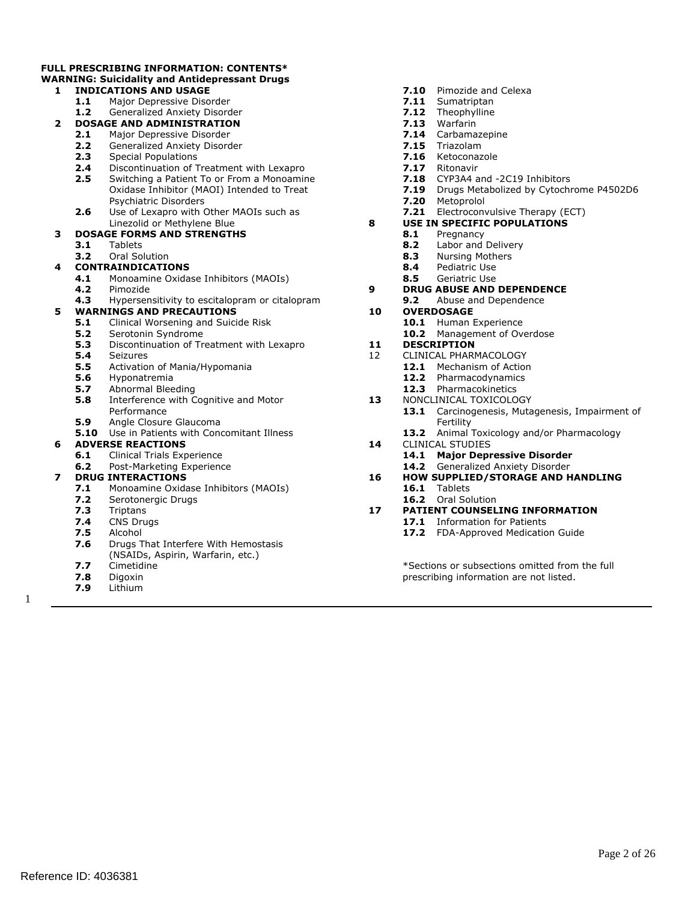## **FULL PRESCRIBING INFORMATION: CONTENTS\* WARNING: Suicidality and Antidepressant Drugs**

|                |      | <b>INDICATIONS AND USAGE</b>                   |                 |      | <b>1.10</b> PIIIIOZIUE dIIU CEIEXD          |
|----------------|------|------------------------------------------------|-----------------|------|---------------------------------------------|
|                | 1.1  | Major Depressive Disorder                      |                 |      | 7.11 Sumatriptan                            |
|                | 1.2  | Generalized Anxiety Disorder                   |                 |      | 7.12 Theophylline                           |
| $\overline{2}$ |      | DOSAGE AND ADMINISTRATION                      |                 |      | 7.13 Warfarin                               |
|                | 2.1  | Major Depressive Disorder                      |                 |      | 7.14 Carbamazepine                          |
|                | 2.2  | Generalized Anxiety Disorder                   |                 |      | 7.15 Triazolam                              |
|                | 2.3  | <b>Special Populations</b>                     |                 |      | 7.16 Ketoconazole                           |
|                | 2.4  | Discontinuation of Treatment with Lexapro      |                 |      | 7.17 Ritonavir                              |
|                | 2.5  | Switching a Patient To or From a Monoamine     |                 |      | 7.18 CYP3A4 and -2C19 Inhibitors            |
|                |      | Oxidase Inhibitor (MAOI) Intended to Treat     |                 | 7.19 | Drugs Metabolized by Cytochrome P4502       |
|                |      | Psychiatric Disorders                          |                 | 7.20 | Metoprolol                                  |
|                | 2.6  | Use of Lexapro with Other MAOIs such as        |                 |      | 7.21 Electroconvulsive Therapy (ECT)        |
|                |      | Linezolid or Methylene Blue                    | 8               |      | USE IN SPECIFIC POPULATIONS                 |
| 3              |      | <b>DOSAGE FORMS AND STRENGTHS</b>              |                 | 8.1  | Pregnancy                                   |
|                | 3.1  | <b>Tablets</b>                                 |                 | 8.2  | Labor and Delivery                          |
|                | 3.2  | Oral Solution                                  |                 | 8.3  | <b>Nursing Mothers</b>                      |
| 4              |      | <b>CONTRAINDICATIONS</b>                       |                 | 8.4  | Pediatric Use                               |
|                | 4.1  | Monoamine Oxidase Inhibitors (MAOIs)           |                 | 8.5  | Geriatric Use                               |
|                | 4.2  | Pimozide                                       | 9               |      | <b>DRUG ABUSE AND DEPENDENCE</b>            |
|                | 4.3  | Hypersensitivity to escitalopram or citalopram |                 | 9.2  | Abuse and Dependence                        |
| 5              |      | <b>WARNINGS AND PRECAUTIONS</b>                | 10              |      | <b>OVERDOSAGE</b>                           |
|                | 5.1  | Clinical Worsening and Suicide Risk            |                 |      | 10.1 Human Experience                       |
|                | 5.2  | Serotonin Syndrome                             |                 |      | 10.2 Management of Overdose                 |
|                | 5.3  | Discontinuation of Treatment with Lexapro      | 11              |      | <b>DESCRIPTION</b>                          |
|                | 5.4  | Seizures                                       | 12              |      | CLINICAL PHARMACOLOGY                       |
|                | 5.5  | Activation of Mania/Hypomania                  |                 |      | 12.1 Mechanism of Action                    |
|                | 5.6  | Hyponatremia                                   |                 |      | 12.2 Pharmacodynamics                       |
|                | 5.7  | Abnormal Bleeding                              |                 |      | 12.3 Pharmacokinetics                       |
|                | 5.8  | Interference with Cognitive and Motor          | 13              |      | NONCLINICAL TOXICOLOGY                      |
|                |      | Performance                                    |                 |      | 13.1 Carcinogenesis, Mutagenesis, Impairmer |
|                | 5.9  | Angle Closure Glaucoma                         |                 |      | Fertility                                   |
|                | 5.10 | Use in Patients with Concomitant Illness       |                 |      | 13.2 Animal Toxicology and/or Pharmacology  |
| 6              |      | <b>ADVERSE REACTIONS</b>                       | 14              |      | <b>CLINICAL STUDIES</b>                     |
|                | 6.1  | <b>Clinical Trials Experience</b>              |                 |      | 14.1 Major Depressive Disorder              |
|                | 6.2  | Post-Marketing Experience                      |                 |      | 14.2 Generalized Anxiety Disorder           |
| 7              |      | <b>DRUG INTERACTIONS</b>                       | 16              |      | HOW SUPPLIED/STORAGE AND HANDLING           |
|                | 7.1  | Monoamine Oxidase Inhibitors (MAOIs)           |                 | 16.1 | Tablets                                     |
|                | 7.2  | Serotonergic Drugs                             |                 |      | 16.2 Oral Solution                          |
|                | 7.3  | Triptans                                       | 17 <sub>2</sub> |      | PATIENT COUNSELING INFORMATION              |
|                | 7.4  | CNS Drugs                                      |                 |      | 17.1 Information for Patients               |
|                | 7.5  | Alcohol                                        |                 |      | 17.2 FDA-Approved Medication Guide          |
|                | 7.6  | Drugs That Interfere With Hemostasis           |                 |      |                                             |
|                |      | (NSAIDs, Aspirin, Warfarin, etc.)              |                 |      |                                             |
|                | - -  |                                                |                 |      |                                             |

- 
- 
- **7.9** Lithium

1

- **7.10** Pimozide and Celexa
- **7.11** Sumatriptan
- **7.12** Theophylline
- **7.13** Warfarin
- **7.14** Carbamazepine
- **7.15** Triazolam
- 
- 
- **7.18** CYP3A4 and -2C19 Inhibitors
- **7.19** Drugs Metabolized by Cytochrome P4502D6
- **7.20** Metoprolol
- **7.21** Electroconvulsive Therapy (ECT)

### **USE IN SPECIFIC POPULATIONS**

- **8.1** Pregnancy<br>**8.2** Labor and
	-
	- **8.3 Nursing Mothers**
	- **8.4** Pediatric Use<br>**8.5** Geriatric Use
	- **4.1** Geriatric Use
- **9.2** Abuse and Dependence<br>**9.2** Abuse and Dependence
- **4.2** Abuse and Dependence<br>**4.3 OVERDOSAGE**
- **OVERDOSAGE** 
	- **10.1** Human Experience
	- **10.2** Management of Overdose
- **5.1 DESCRIPTION**<br>2 CLINICAL PHARI
	-
	- -
		-
- **3** NONCLINICAL TOXICOLOGY
	- 13.1 Carcinogenesis, Mutagenesis, Impairment of
	-
- **4** CLINICAL STUDIES
- **14.1 Major Depressive Disorder**
- **6 HOW SUPPLIED/STORAGE AND HANDLING** 
	- **16.1** Tablets 16.2 Oral Solution
	-
- **7.3** Triptans **17 PATIENT COUNSELING INFORMATION** 
	- **17.1** Information for Patients
	- **17.2** FDA-Approved Medication Guide

**7.7** Cimetidine **1.1** Cimetidine **1.1** Cimetidine **1.1** Cimetidine **\*Sections of subsections of subsections** or subsections on the full **7.8** Digoxin **7.8** Digoxin prescribing information are not listed.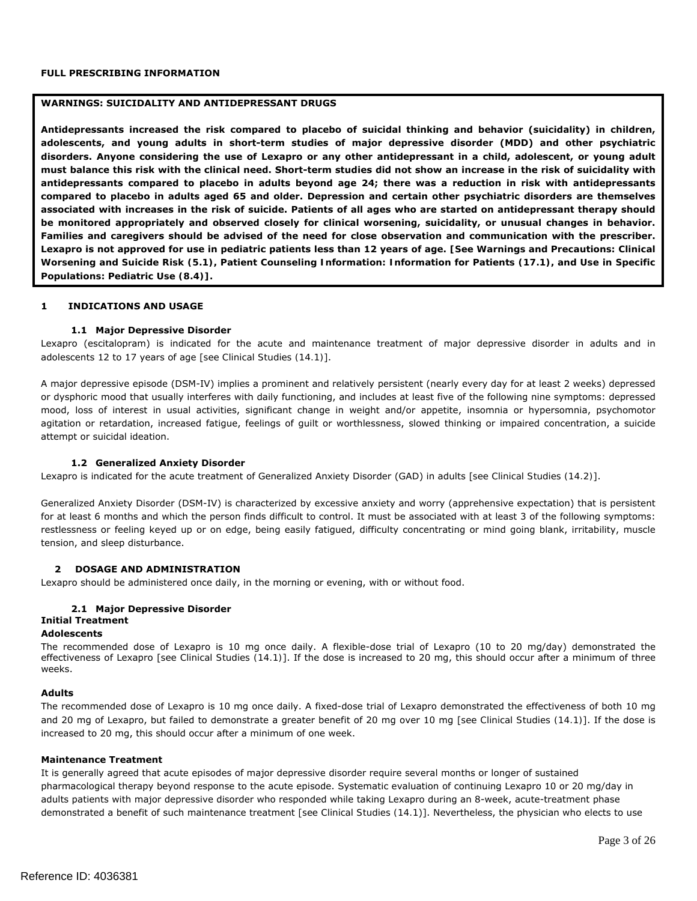#### **FULL PRESCRIBING INFORMATION**

#### **WARNINGS: SUICIDALITY AND ANTIDEPRESSANT DRUGS**

Families and caregivers should be advised of the need for close observation and communication with the prescriber. **Antidepressants increased the risk compared to placebo of suicidal thinking and behavior (suicidality) in children, adolescents, and young adults in short-term studies of major depressive disorder (MDD) and other psychiatric disorders. Anyone considering the use of Lexapro or any other antidepressant in a child, adolescent, or young adult must balance this risk with the clinical need. Short-term studies did not show an increase in the risk of suicidality with antidepressants compared to placebo in adults beyond age 24; there was a reduction in risk with antidepressants compared to placebo in adults aged 65 and older. Depression and certain other psychiatric disorders are themselves associated with increases in the risk of suicide. Patients of all ages who are started on antidepressant therapy should be monitored appropriately and observed closely for clinical worsening, suicidality, or unusual changes in behavior.**  Lexapro is not approved for use in pediatric patients less than 12 years of age. [See Warnings and Precautions: Clinical *Worsening and Suicide Risk (5.1), Patient Counseling Information: Information for Patients (17.1), and Use in Specific Populations: Pediatric Use (8.4)].* 

#### **1 INDICATIONS AND USAGE**

#### **1.1 Major Depressive Disorder**

Lexapro (escitalopram) is indicated for the acute and maintenance treatment of major depressive disorder in adults and in adolescents 12 to 17 years of age [*see Clinical Studies (14.1)*].

A major depressive episode (DSM-IV) implies a prominent and relatively persistent (nearly every day for at least 2 weeks) depressed or dysphoric mood that usually interferes with daily functioning, and includes at least five of the following nine symptoms: depressed mood, loss of interest in usual activities, significant change in weight and/or appetite, insomnia or hypersomnia, psychomotor agitation or retardation, increased fatigue, feelings of guilt or worthlessness, slowed thinking or impaired concentration, a suicide attempt or suicidal ideation.

#### **1.2 Generalized Anxiety Disorder**

Lexapro is indicated for the acute treatment of Generalized Anxiety Disorder (GAD) in adults [*see Clinical Studies (14.2)*].

Generalized Anxiety Disorder (DSM-IV) is characterized by excessive anxiety and worry (apprehensive expectation) that is persistent for at least 6 months and which the person finds difficult to control. It must be associated with at least 3 of the following symptoms: restlessness or feeling keyed up or on edge, being easily fatigued, difficulty concentrating or mind going blank, irritability, muscle tension, and sleep disturbance.

#### **2 DOSAGE AND ADMINISTRATION**

Lexapro should be administered once daily, in the morning or evening, with or without food.

#### **2.1 Major Depressive Disorder**

# **Initial Treatment Adolescents**

The recommended dose of Lexapro is 10 mg once daily. A flexible-dose trial of Lexapro (10 to 20 mg/day) demonstrated the effectiveness of Lexapro [*see Clinical Studies (14.1)*]. If the dose is increased to 20 mg, this should occur after a minimum of three weeks.

#### **Adults**

The recommended dose of Lexapro is 10 mg once daily. A fixed-dose trial of Lexapro demonstrated the effectiveness of both 10 mg and 20 mg of Lexapro, but failed to demonstrate a greater benefit of 20 mg over 10 mg [*see Clinical Studies (14.1)*]. If the dose is increased to 20 mg, this should occur after a minimum of one week.

#### **Maintenance Treatment**

 It is generally agreed that acute episodes of major depressive disorder require several months or longer of sustained pharmacological therapy beyond response to the acute episode. Systematic evaluation of continuing Lexapro 10 or 20 mg/day in adults patients with major depressive disorder who responded while taking Lexapro during an 8-week, acute-treatment phase demonstrated a benefit of such maintenance treatment [*see Clinical Studies (14.1*)]. Nevertheless, the physician who elects to use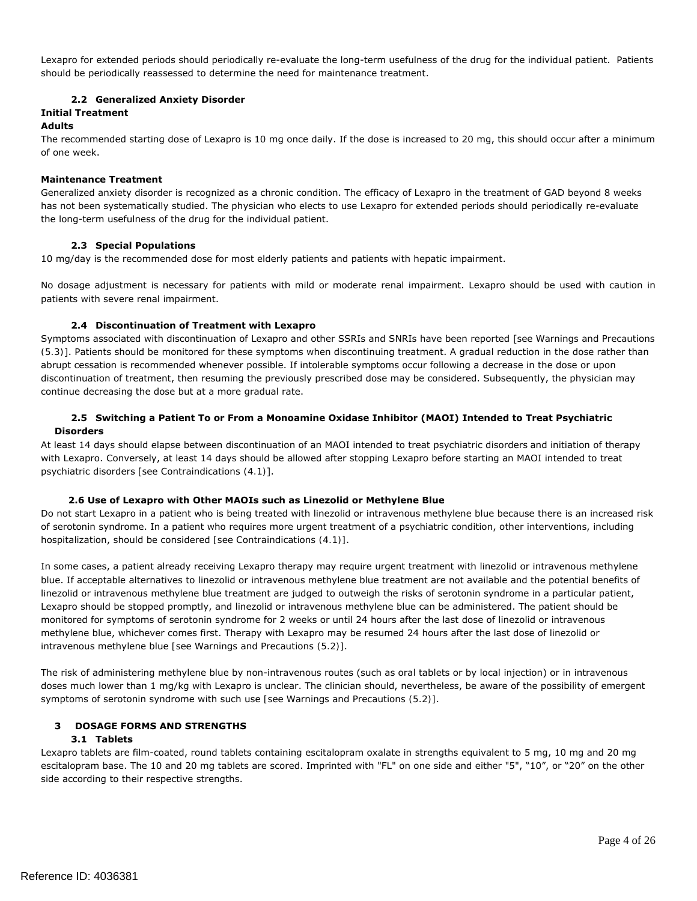Lexapro for extended periods should periodically re-evaluate the long-term usefulness of the drug for the individual patient. Patients should be periodically reassessed to determine the need for maintenance treatment.

#### **2.2 Generalized Anxiety Disorder**

#### **Initial Treatment**

#### **Adults**

The recommended starting dose of Lexapro is 10 mg once daily. If the dose is increased to 20 mg, this should occur after a minimum of one week.

#### **Maintenance Treatment**

Generalized anxiety disorder is recognized as a chronic condition. The efficacy of Lexapro in the treatment of GAD beyond 8 weeks has not been systematically studied. The physician who elects to use Lexapro for extended periods should periodically re-evaluate the long-term usefulness of the drug for the individual patient.

#### **2.3 Special Populations**

10 mg/day is the recommended dose for most elderly patients and patients with hepatic impairment. No dosage adjustment is necessary for patients with mild or moderate renal impairment. Lexapro should be used with caution in patients with severe renal impairment.

#### **2.4 Discontinuation of Treatment with Lexapro**

Symptoms associated with discontinuation of Lexapro and other SSRIs and SNRIs have been reported [*see Warnings and Precautions (5.3)*]. Patients should be monitored for these symptoms when discontinuing treatment. A gradual reduction in the dose rather than abrupt cessation is recommended whenever possible. If intolerable symptoms occur following a decrease in the dose or upon discontinuation of treatment, then resuming the previously prescribed dose may be considered. Subsequently, the physician may continue decreasing the dose but at a more gradual rate.

#### **2.5 Switching a Patient To or From a Monoamine Oxidase Inhibitor (MAOI) Intended to Treat Psychiatric Disorders**

At least 14 days should elapse between discontinuation of an MAOI intended to treat psychiatric disorders and initiation of therapy with Lexapro. Conversely, at least 14 days should be allowed after stopping Lexapro before starting an MAOI intended to treat psychiatric disorders [*see Contraindications (4.1)*].

#### **2.6 Use of Lexapro with Other MAOIs such as Linezolid or Methylene Blue**

Do not start Lexapro in a patient who is being treated with linezolid or intravenous methylene blue because there is an increased risk of serotonin syndrome. In a patient who requires more urgent treatment of a psychiatric condition, other interventions, including hospitalization, should be considered *[see Contraindications (4.1)]*.

In some cases, a patient already receiving Lexapro therapy may require urgent treatment with linezolid or intravenous methylene blue. If acceptable alternatives to linezolid or intravenous methylene blue treatment are not available and the potential benefits of linezolid or intravenous methylene blue treatment are judged to outweigh the risks of serotonin syndrome in a particular patient, Lexapro should be stopped promptly, and linezolid or intravenous methylene blue can be administered. The patient should be monitored for symptoms of serotonin syndrome for 2 weeks or until 24 hours after the last dose of linezolid or intravenous methylene blue, whichever comes first. Therapy with Lexapro may be resumed 24 hours after the last dose of linezolid or intravenous methylene blue *[see Warnings and Precautions (5.2)]*.

The risk of administering methylene blue by non-intravenous routes (such as oral tablets or by local injection) or in intravenous doses much lower than 1 mg/kg with Lexapro is unclear. The clinician should, nevertheless, be aware of the possibility of emergent symptoms of serotonin syndrome with such use *[see Warnings and Precautions (5.2)]*.

# **DOSAGE FORMS AND STRENGTHS 3.1 Tablets 3**

Lexapro tablets are film-coated, round tablets containing escitalopram oxalate in strengths equivalent to 5 mg, 10 mg and 20 mg escitalopram base. The 10 and 20 mg tablets are scored. Imprinted with "FL" on one side and either "5", "10", or "20" on the other side according to their respective strengths.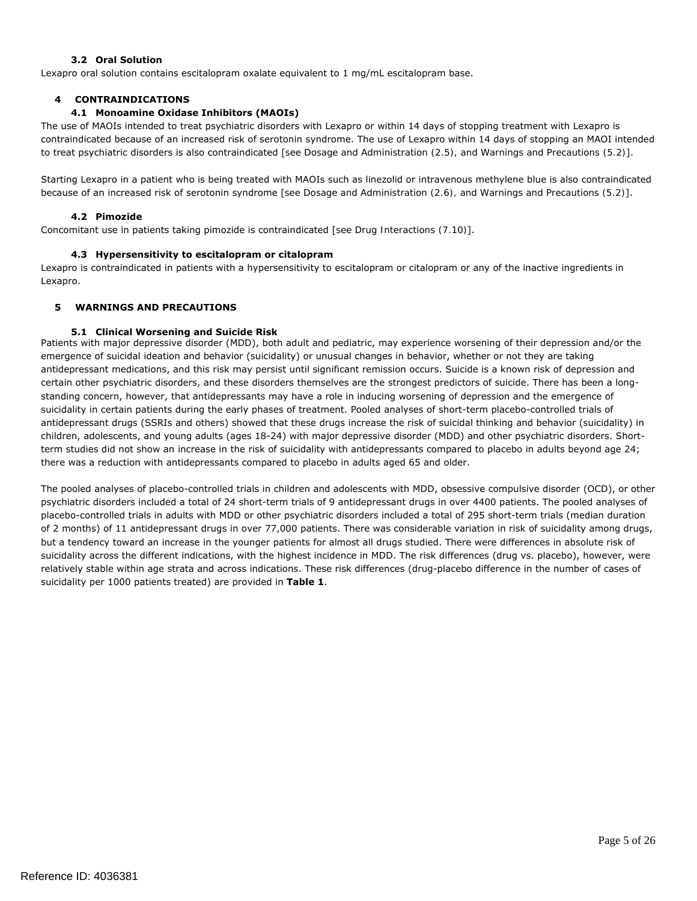#### **3.2 Oral Solution**

Lexapro oral solution contains escitalopram oxalate equivalent to 1 mg/mL escitalopram base.

#### **4 CONTRAINDICATIONS**

#### **4.1 Monoamine Oxidase Inhibitors (MAOIs)**

The use of MAOIs intended to treat psychiatric disorders with Lexapro or within 14 days of stopping treatment with Lexapro is contraindicated because of an increased risk of serotonin syndrome. The use of Lexapro within 14 days of stopping an MAOI intended to treat psychiatric disorders is also contraindicated [*see Dosage and Administration (2.5), and Warnings and Precautions (5.2)*].

Starting Lexapro in a patient who is being treated with MAOIs such as linezolid or intravenous methylene blue is also contraindicated because of an increased risk of serotonin syndrome [*see Dosage and Administration (2.6), and Warnings and Precautions (5.2)*].

#### **4.2 Pimozide**

Concomitant use in patients taking pimozide is contraindicated [*see Drug Interactions (7.10)*].

#### **4.3 Hypersensitivity to escitalopram or citalopram**

Lexapro is contraindicated in patients with a hypersensitivity to escitalopram or citalopram or any of the inactive ingredients in Lexapro.

#### **5 WARNINGS AND PRECAUTIONS**

#### **5.1 Clinical Worsening and Suicide Risk**

Patients with major depressive disorder (MDD), both adult and pediatric, may experience worsening of their depression and/or the emergence of suicidal ideation and behavior (suicidality) or unusual changes in behavior, whether or not they are taking antidepressant medications, and this risk may persist until significant remission occurs. Suicide is a known risk of depression and certain other psychiatric disorders, and these disorders themselves are the strongest predictors of suicide. There has been a longstanding concern, however, that antidepressants may have a role in inducing worsening of depression and the emergence of suicidality in certain patients during the early phases of treatment. Pooled analyses of short-term placebo-controlled trials of antidepressant drugs (SSRIs and others) showed that these drugs increase the risk of suicidal thinking and behavior (suicidality) in children, adolescents, and young adults (ages 18-24) with major depressive disorder (MDD) and other psychiatric disorders. Shortterm studies did not show an increase in the risk of suicidality with antidepressants compared to placebo in adults beyond age 24; there was a reduction with antidepressants compared to placebo in adults aged 65 and older.

 placebo-controlled trials in adults with MDD or other psychiatric disorders included a total of 295 short-term trials (median duration suicidality per 1000 patients treated) are provided in **Table 1**. The pooled analyses of placebo-controlled trials in children and adolescents with MDD, obsessive compulsive disorder (OCD), or other psychiatric disorders included a total of 24 short-term trials of 9 antidepressant drugs in over 4400 patients. The pooled analyses of of 2 months) of 11 antidepressant drugs in over 77,000 patients. There was considerable variation in risk of suicidality among drugs, but a tendency toward an increase in the younger patients for almost all drugs studied. There were differences in absolute risk of suicidality across the different indications, with the highest incidence in MDD. The risk differences (drug vs. placebo), however, were relatively stable within age strata and across indications. These risk differences (drug-placebo difference in the number of cases of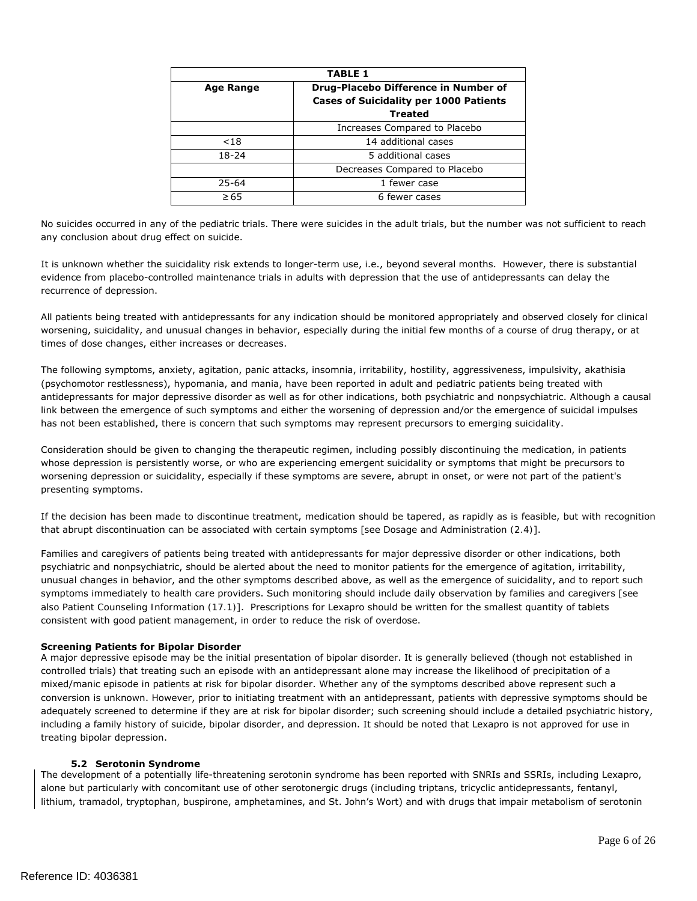| <b>TABLE 1</b>                                |                                      |  |  |
|-----------------------------------------------|--------------------------------------|--|--|
| <b>Age Range</b>                              | Drug-Placebo Difference in Number of |  |  |
| <b>Cases of Suicidality per 1000 Patients</b> |                                      |  |  |
|                                               | Treated                              |  |  |
|                                               | Increases Compared to Placebo        |  |  |
| ${}_{<18}$                                    | 14 additional cases                  |  |  |
| 18-24                                         | 5 additional cases                   |  |  |
|                                               | Decreases Compared to Placebo        |  |  |
| $25 - 64$                                     | 1 fewer case                         |  |  |
| $\geq 65$                                     | 6 fewer cases                        |  |  |

No suicides occurred in any of the pediatric trials. There were suicides in the adult trials, but the number was not sufficient to reach any conclusion about drug effect on suicide.

It is unknown whether the suicidality risk extends to longer-term use, i.e., beyond several months. However, there is substantial evidence from placebo-controlled maintenance trials in adults with depression that the use of antidepressants can delay the recurrence of depression.

All patients being treated with antidepressants for any indication should be monitored appropriately and observed closely for clinical worsening, suicidality, and unusual changes in behavior, especially during the initial few months of a course of drug therapy, or at times of dose changes, either increases or decreases.

The following symptoms, anxiety, agitation, panic attacks, insomnia, irritability, hostility, aggressiveness, impulsivity, akathisia (psychomotor restlessness), hypomania, and mania, have been reported in adult and pediatric patients being treated with antidepressants for major depressive disorder as well as for other indications, both psychiatric and nonpsychiatric. Although a causal link between the emergence of such symptoms and either the worsening of depression and/or the emergence of suicidal impulses has not been established, there is concern that such symptoms may represent precursors to emerging suicidality.

Consideration should be given to changing the therapeutic regimen, including possibly discontinuing the medication, in patients whose depression is persistently worse, or who are experiencing emergent suicidality or symptoms that might be precursors to worsening depression or suicidality, especially if these symptoms are severe, abrupt in onset, or were not part of the patient's presenting symptoms.

If the decision has been made to discontinue treatment, medication should be tapered, as rapidly as is feasible, but with recognition that abrupt discontinuation can be associated with certain symptoms [*see Dosage and Administration (2.4)*].

 *also Patient Counseling Information (17.1)*]. Prescriptions for Lexapro should be written for the smallest quantity of tablets Families and caregivers of patients being treated with antidepressants for major depressive disorder or other indications, both psychiatric and nonpsychiatric, should be alerted about the need to monitor patients for the emergence of agitation, irritability, unusual changes in behavior, and the other symptoms described above, as well as the emergence of suicidality, and to report such symptoms immediately to health care providers. Such monitoring should include daily observation by families and caregivers [*see*  consistent with good patient management, in order to reduce the risk of overdose.

#### **Screening Patients for Bipolar Disorder**

A major depressive episode may be the initial presentation of bipolar disorder. It is generally believed (though not established in controlled trials) that treating such an episode with an antidepressant alone may increase the likelihood of precipitation of a mixed/manic episode in patients at risk for bipolar disorder. Whether any of the symptoms described above represent such a conversion is unknown. However, prior to initiating treatment with an antidepressant, patients with depressive symptoms should be adequately screened to determine if they are at risk for bipolar disorder; such screening should include a detailed psychiatric history, including a family history of suicide, bipolar disorder, and depression. It should be noted that Lexapro is not approved for use in treating bipolar depression.

#### **5.2 Serotonin Syndrome**

The development of a potentially life-threatening serotonin syndrome has been reported with SNRIs and SSRIs, including Lexapro, alone but particularly with concomitant use of other serotonergic drugs (including triptans, tricyclic antidepressants, fentanyl, lithium, tramadol, tryptophan, buspirone, amphetamines, and St. John's Wort) and with drugs that impair metabolism of serotonin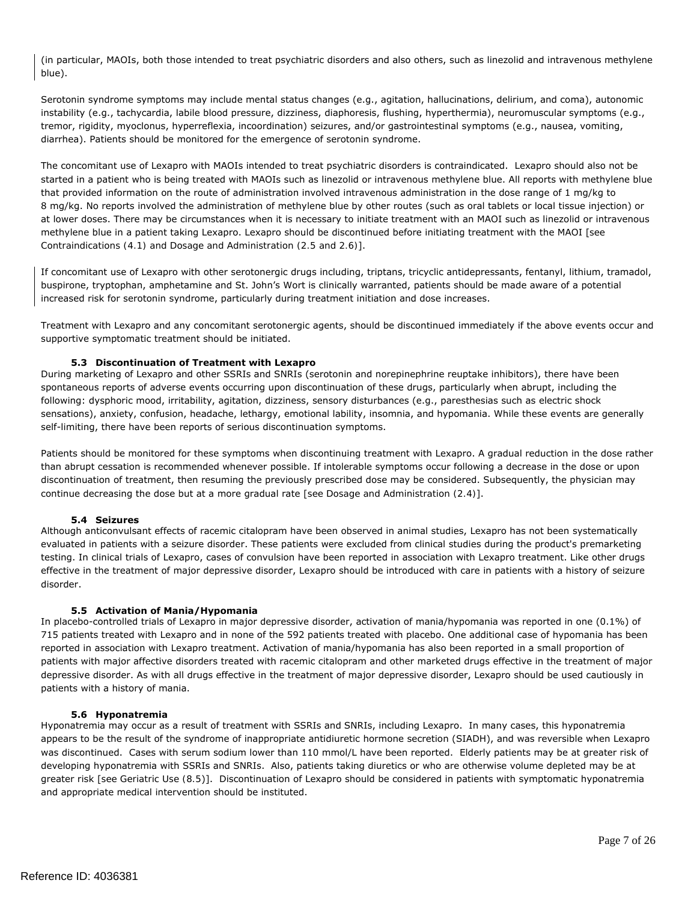(in particular, MAOIs, both those intended to treat psychiatric disorders and also others, such as linezolid and intravenous methylene blue).

Serotonin syndrome symptoms may include mental status changes (e.g., agitation, hallucinations, delirium, and coma), autonomic instability (e.g., tachycardia, labile blood pressure, dizziness, diaphoresis, flushing, hyperthermia), neuromuscular symptoms (e.g., tremor, rigidity, myoclonus, hyperreflexia, incoordination) seizures, and/or gastrointestinal symptoms (e.g., nausea, vomiting, diarrhea). Patients should be monitored for the emergence of serotonin syndrome.

The concomitant use of Lexapro with MAOIs intended to treat psychiatric disorders is contraindicated. Lexapro should also not be started in a patient who is being treated with MAOIs such as linezolid or intravenous methylene blue. All reports with methylene blue that provided information on the route of administration involved intravenous administration in the dose range of 1 mg/kg to 8 mg/kg. No reports involved the administration of methylene blue by other routes (such as oral tablets or local tissue injection) or at lower doses. There may be circumstances when it is necessary to initiate treatment with an MAOI such as linezolid or intravenous methylene blue in a patient taking Lexapro. Lexapro should be discontinued before initiating treatment with the MAOI [*see Contraindications (4.1) and Dosage and Administration (2.5 and 2.6)*].

If concomitant use of Lexapro with other serotonergic drugs including, triptans, tricyclic antidepressants, fentanyl, lithium, tramadol, buspirone, tryptophan, amphetamine and St. John's Wort is clinically warranted, patients should be made aware of a potential increased risk for serotonin syndrome, particularly during treatment initiation and dose increases.

Treatment with Lexapro and any concomitant serotonergic agents, should be discontinued immediately if the above events occur and supportive symptomatic treatment should be initiated.

#### **5.3 Discontinuation of Treatment with Lexapro**

During marketing of Lexapro and other SSRIs and SNRIs (serotonin and norepinephrine reuptake inhibitors), there have been spontaneous reports of adverse events occurring upon discontinuation of these drugs, particularly when abrupt, including the following: dysphoric mood, irritability, agitation, dizziness, sensory disturbances (e.g., paresthesias such as electric shock sensations), anxiety, confusion, headache, lethargy, emotional lability, insomnia, and hypomania. While these events are generally self-limiting, there have been reports of serious discontinuation symptoms.

Patients should be monitored for these symptoms when discontinuing treatment with Lexapro. A gradual reduction in the dose rather than abrupt cessation is recommended whenever possible. If intolerable symptoms occur following a decrease in the dose or upon discontinuation of treatment, then resuming the previously prescribed dose may be considered. Subsequently, the physician may continue decreasing the dose but at a more gradual rate [*see Dosage and Administration (2.4)*].

#### **5.4 Seizures**

Although anticonvulsant effects of racemic citalopram have been observed in animal studies, Lexapro has not been systematically evaluated in patients with a seizure disorder. These patients were excluded from clinical studies during the product's premarketing testing. In clinical trials of Lexapro, cases of convulsion have been reported in association with Lexapro treatment. Like other drugs effective in the treatment of major depressive disorder, Lexapro should be introduced with care in patients with a history of seizure disorder.

#### **5.5 Activation of Mania/Hypomania**

In placebo-controlled trials of Lexapro in major depressive disorder, activation of mania/hypomania was reported in one (0.1%) of 715 patients treated with Lexapro and in none of the 592 patients treated with placebo. One additional case of hypomania has been reported in association with Lexapro treatment. Activation of mania/hypomania has also been reported in a small proportion of patients with major affective disorders treated with racemic citalopram and other marketed drugs effective in the treatment of major depressive disorder. As with all drugs effective in the treatment of major depressive disorder, Lexapro should be used cautiously in patients with a history of mania.

#### **5.6 Hyponatremia**

 greater risk [*see Geriatric Use (8.5*)]. Discontinuation of Lexapro should be considered in patients with symptomatic hyponatremia Hyponatremia may occur as a result of treatment with SSRIs and SNRIs, including Lexapro. In many cases, this hyponatremia appears to be the result of the syndrome of inappropriate antidiuretic hormone secretion (SIADH), and was reversible when Lexapro was discontinued. Cases with serum sodium lower than 110 mmol/L have been reported. Elderly patients may be at greater risk of developing hyponatremia with SSRIs and SNRIs. Also, patients taking diuretics or who are otherwise volume depleted may be at and appropriate medical intervention should be instituted.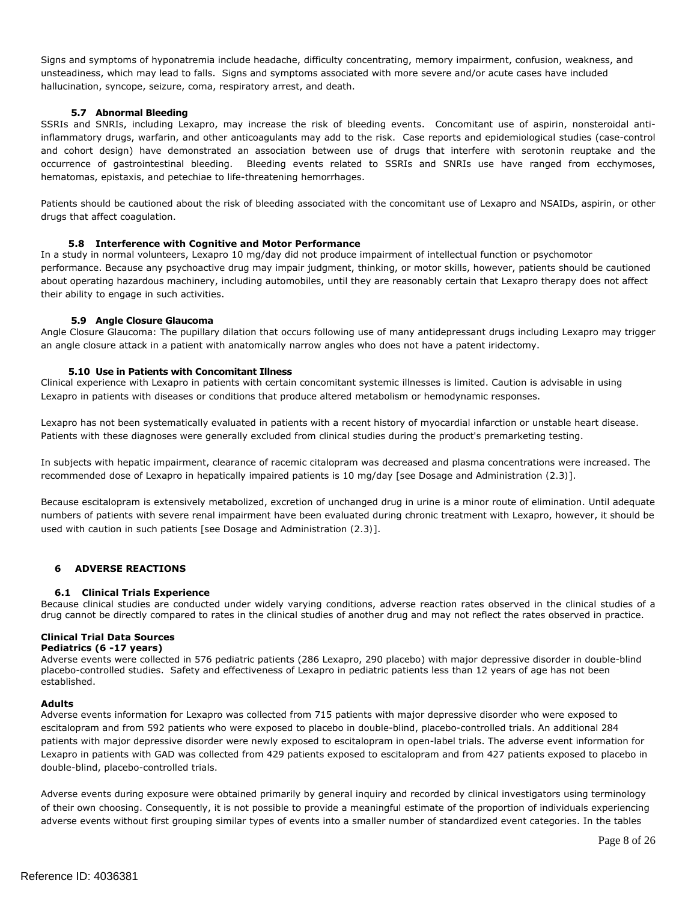Signs and symptoms of hyponatremia include headache, difficulty concentrating, memory impairment, confusion, weakness, and unsteadiness, which may lead to falls. Signs and symptoms associated with more severe and/or acute cases have included hallucination, syncope, seizure, coma, respiratory arrest, and death.

#### **5.7 Abnormal Bleeding**

SSRIs and SNRIs, including Lexapro, may increase the risk of bleeding events. Concomitant use of aspirin, nonsteroidal antiinflammatory drugs, warfarin, and other anticoagulants may add to the risk. Case reports and epidemiological studies (case-control and cohort design) have demonstrated an association between use of drugs that interfere with serotonin reuptake and the occurrence of gastrointestinal bleeding. Bleeding events related to SSRIs and SNRIs use have ranged from ecchymoses, hematomas, epistaxis, and petechiae to life-threatening hemorrhages.

Patients should be cautioned about the risk of bleeding associated with the concomitant use of Lexapro and NSAIDs, aspirin, or other drugs that affect coagulation.

#### **5.8 Interference with Cognitive and Motor Performance**

 their ability to engage in such activities. In a study in normal volunteers, Lexapro 10 mg/day did not produce impairment of intellectual function or psychomotor performance. Because any psychoactive drug may impair judgment, thinking, or motor skills, however, patients should be cautioned about operating hazardous machinery, including automobiles, until they are reasonably certain that Lexapro therapy does not affect

#### **5.9 Angle Closure Glaucoma**

Angle Closure Glaucoma: The pupillary dilation that occurs following use of many antidepressant drugs including Lexapro may trigger an angle closure attack in a patient with anatomically narrow angles who does not have a patent iridectomy.

#### **5.10 Use in Patients with Concomitant Illness**

Clinical experience with Lexapro in patients with certain concomitant systemic illnesses is limited. Caution is advisable in using Lexapro in patients with diseases or conditions that produce altered metabolism or hemodynamic responses.

Lexapro has not been systematically evaluated in patients with a recent history of myocardial infarction or unstable heart disease. Patients with these diagnoses were generally excluded from clinical studies during the product's premarketing testing.

In subjects with hepatic impairment, clearance of racemic citalopram was decreased and plasma concentrations were increased. The recommended dose of Lexapro in hepatically impaired patients is 10 mg/day [*see Dosage and Administration (2.3)*].

Because escitalopram is extensively metabolized, excretion of unchanged drug in urine is a minor route of elimination. Until adequate numbers of patients with severe renal impairment have been evaluated during chronic treatment with Lexapro, however, it should be used with caution in such patients [*see Dosage and Administration (2.3)*].

#### **6 ADVERSE REACTIONS**

#### **6.1 Clinical Trials Experience**

Because clinical studies are conducted under widely varying conditions, adverse reaction rates observed in the clinical studies of a drug cannot be directly compared to rates in the clinical studies of another drug and may not reflect the rates observed in practice.

#### **Clinical Trial Data Sources**

#### **Pediatrics (6 -17 years)**

Adverse events were collected in 576 pediatric patients (286 Lexapro, 290 placebo) with major depressive disorder in double-blind placebo-controlled studies. Safety and effectiveness of Lexapro in pediatric patients less than 12 years of age has not been established.

#### **Adults**

 Lexapro in patients with GAD was collected from 429 patients exposed to escitalopram and from 427 patients exposed to placebo in Adverse events information for Lexapro was collected from 715 patients with major depressive disorder who were exposed to escitalopram and from 592 patients who were exposed to placebo in double-blind, placebo-controlled trials. An additional 284 patients with major depressive disorder were newly exposed to escitalopram in open-label trials. The adverse event information for double-blind, placebo-controlled trials.

Adverse events during exposure were obtained primarily by general inquiry and recorded by clinical investigators using terminology of their own choosing. Consequently, it is not possible to provide a meaningful estimate of the proportion of individuals experiencing adverse events without first grouping similar types of events into a smaller number of standardized event categories. In the tables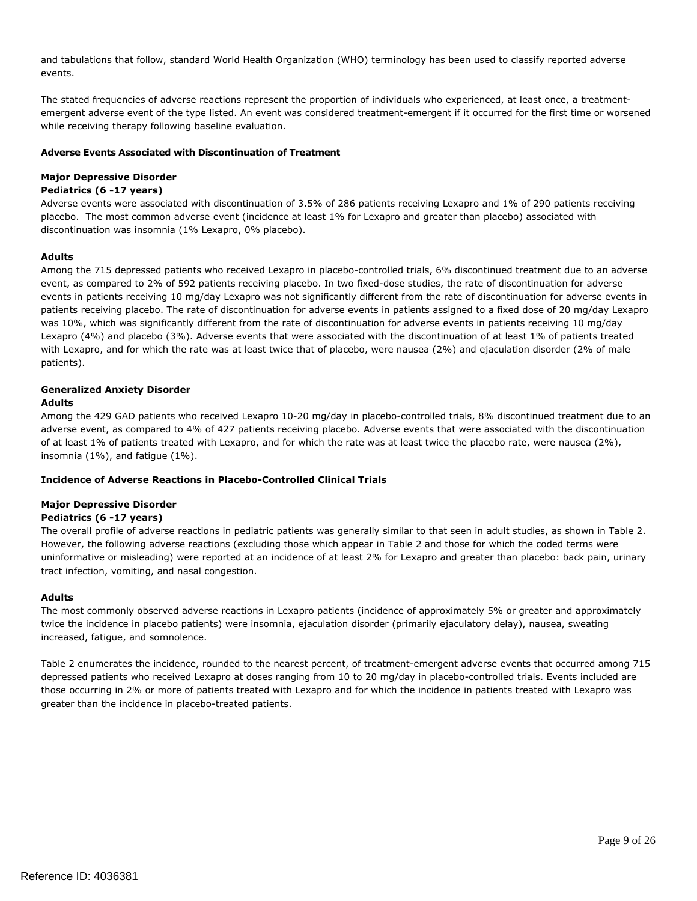and tabulations that follow, standard World Health Organization (WHO) terminology has been used to classify reported adverse events.

The stated frequencies of adverse reactions represent the proportion of individuals who experienced, at least once, a treatmentemergent adverse event of the type listed. An event was considered treatment-emergent if it occurred for the first time or worsened while receiving therapy following baseline evaluation.

#### **Adverse Events Associated with Discontinuation of Treatment**

#### **Major Depressive Disorder**

#### **Pediatrics (6 -17 years)**

Adverse events were associated with discontinuation of 3.5% of 286 patients receiving Lexapro and 1% of 290 patients receiving placebo. The most common adverse event (incidence at least 1% for Lexapro and greater than placebo) associated with discontinuation was insomnia (1% Lexapro, 0% placebo).

#### **Adults**

Among the 715 depressed patients who received Lexapro in placebo-controlled trials, 6% discontinued treatment due to an adverse event, as compared to 2% of 592 patients receiving placebo. In two fixed-dose studies, the rate of discontinuation for adverse events in patients receiving 10 mg/day Lexapro was not significantly different from the rate of discontinuation for adverse events in patients receiving placebo. The rate of discontinuation for adverse events in patients assigned to a fixed dose of 20 mg/day Lexapro was 10%, which was significantly different from the rate of discontinuation for adverse events in patients receiving 10 mg/day Lexapro (4%) and placebo (3%). Adverse events that were associated with the discontinuation of at least 1% of patients treated with Lexapro, and for which the rate was at least twice that of placebo, were nausea (2%) and ejaculation disorder (2% of male patients).

#### **Generalized Anxiety Disorder**

#### **Adults**

 adverse event, as compared to 4% of 427 patients receiving placebo. Adverse events that were associated with the discontinuation Among the 429 GAD patients who received Lexapro 10-20 mg/day in placebo-controlled trials, 8% discontinued treatment due to an of at least 1% of patients treated with Lexapro, and for which the rate was at least twice the placebo rate, were nausea (2%), insomnia (1%), and fatigue (1%).

#### **Incidence of Adverse Reactions in Placebo-Controlled Clinical Trials**

#### **Major Depressive Disorder**

#### **Pediatrics (6 -17 years)**

 The overall profile of adverse reactions in pediatric patients was generally similar to that seen in adult studies, as shown in Table 2. However, the following adverse reactions (excluding those which appear in Table 2 and those for which the coded terms were uninformative or misleading) were reported at an incidence of at least 2% for Lexapro and greater than placebo: back pain, urinary tract infection, vomiting, and nasal congestion.

#### **Adults**

The most commonly observed adverse reactions in Lexapro patients (incidence of approximately 5% or greater and approximately twice the incidence in placebo patients) were insomnia, ejaculation disorder (primarily ejaculatory delay), nausea, sweating increased, fatigue, and somnolence.

Table 2 enumerates the incidence, rounded to the nearest percent, of treatment-emergent adverse events that occurred among 715 depressed patients who received Lexapro at doses ranging from 10 to 20 mg/day in placebo-controlled trials. Events included are those occurring in 2% or more of patients treated with Lexapro and for which the incidence in patients treated with Lexapro was greater than the incidence in placebo-treated patients.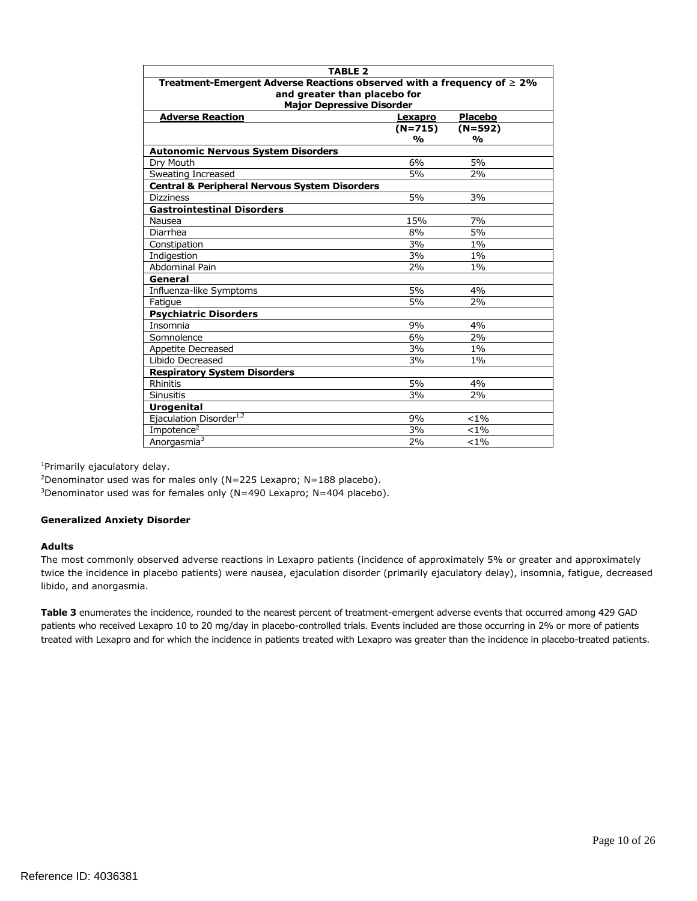| <b>TABLE 2</b>                                                                                                                                   |                  |               |  |  |
|--------------------------------------------------------------------------------------------------------------------------------------------------|------------------|---------------|--|--|
| Treatment-Emergent Adverse Reactions observed with a frequency of $\geq 2\%$<br>and greater than placebo for<br><b>Major Depressive Disorder</b> |                  |               |  |  |
| <b>Placebo</b><br><b>Adverse Reaction</b><br>Lexapro                                                                                             |                  |               |  |  |
|                                                                                                                                                  | $(N=715)$        | $(N=592)$     |  |  |
|                                                                                                                                                  | $\frac{0}{0}$    | $\frac{0}{0}$ |  |  |
| <b>Autonomic Nervous System Disorders</b>                                                                                                        |                  |               |  |  |
| Drv Mouth                                                                                                                                        | 6%               | 5%            |  |  |
| Sweating Increased                                                                                                                               | 5%               | 2%            |  |  |
| <b>Central &amp; Peripheral Nervous System Disorders</b>                                                                                         |                  |               |  |  |
| <b>Dizziness</b>                                                                                                                                 | 5%               | 3%            |  |  |
| <b>Gastrointestinal Disorders</b>                                                                                                                |                  |               |  |  |
| Nausea                                                                                                                                           | 15%              | 7%            |  |  |
| Diarrhea                                                                                                                                         | 8%               | 5%            |  |  |
| Constipation                                                                                                                                     | 3%               | 1%            |  |  |
| Indigestion                                                                                                                                      | 3%               | 1%            |  |  |
| <b>Abdominal Pain</b>                                                                                                                            | 2%               | $1\%$         |  |  |
| General                                                                                                                                          |                  |               |  |  |
| Influenza-like Symptoms                                                                                                                          | 5%               | 4%            |  |  |
| Fatique                                                                                                                                          | 5%               | 2%            |  |  |
| <b>Psychiatric Disorders</b>                                                                                                                     |                  |               |  |  |
| Insomnia                                                                                                                                         | 9%               | 4%            |  |  |
| Somnolence                                                                                                                                       | 6%               | 2%            |  |  |
| Appetite Decreased                                                                                                                               | 3%               | 1%            |  |  |
| Libido Decreased                                                                                                                                 | 3%               | 1%            |  |  |
| <b>Respiratory System Disorders</b>                                                                                                              |                  |               |  |  |
| Rhinitis                                                                                                                                         | 5%               | 4%            |  |  |
| <b>Sinusitis</b>                                                                                                                                 | 3%               | 2%            |  |  |
| <b>Urogenital</b>                                                                                                                                |                  |               |  |  |
| Ejaculation Disorder <sup>1,2</sup>                                                                                                              | 9%               | $< 1\%$       |  |  |
| Impotence <sup>2</sup>                                                                                                                           | $\overline{3}\%$ | $< 1\%$       |  |  |
| Anorgasmia <sup>3</sup>                                                                                                                          | 2%               | $< 1\%$       |  |  |

1 Primarily ejaculatory delay.

<sup>2</sup>Denominator used was for males only (N=225 Lexapro; N=188 placebo).

3 Denominator used was for females only (N=490 Lexapro; N=404 placebo).

#### **Generalized Anxiety Disorder**

#### **Adults**

The most commonly observed adverse reactions in Lexapro patients (incidence of approximately 5% or greater and approximately twice the incidence in placebo patients) were nausea, ejaculation disorder (primarily ejaculatory delay), insomnia, fatigue, decreased libido, and anorgasmia.

**Table 3** enumerates the incidence, rounded to the nearest percent of treatment-emergent adverse events that occurred among 429 GAD patients who received Lexapro 10 to 20 mg/day in placebo-controlled trials. Events included are those occurring in 2% or more of patients treated with Lexapro and for which the incidence in patients treated with Lexapro was greater than the incidence in placebo-treated patients.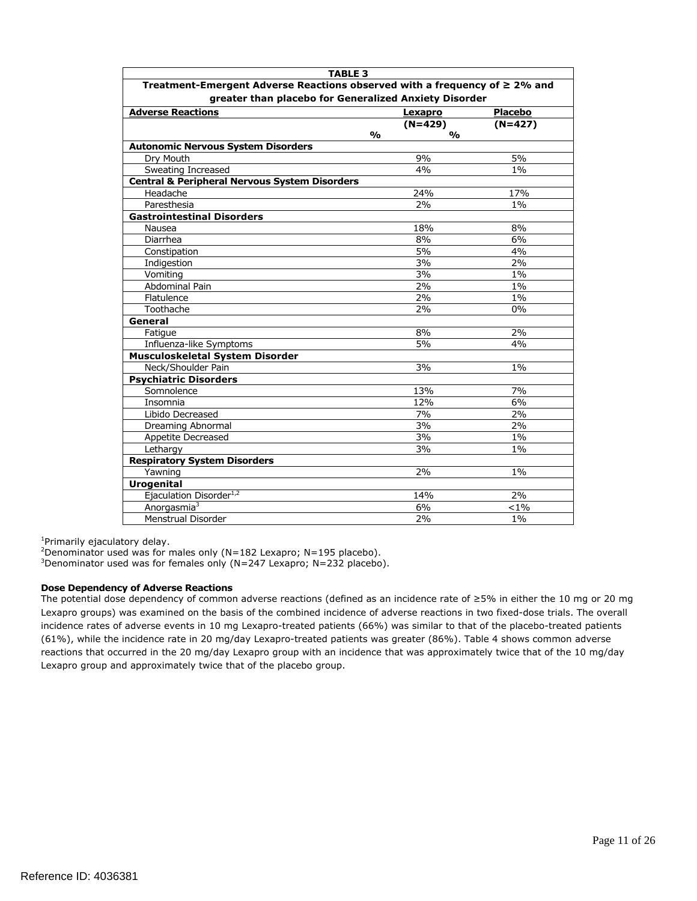| <b>TABLE 3</b>                                                                   |               |           |           |  |
|----------------------------------------------------------------------------------|---------------|-----------|-----------|--|
| Treatment-Emergent Adverse Reactions observed with a frequency of $\geq 2\%$ and |               |           |           |  |
| greater than placebo for Generalized Anxiety Disorder                            |               |           |           |  |
| <b>Placebo</b><br><b>Adverse Reactions</b><br>Lexapro                            |               |           |           |  |
|                                                                                  |               | $(N=429)$ | $(N=427)$ |  |
|                                                                                  | $\frac{0}{0}$ | $\alpha$  |           |  |
| <b>Autonomic Nervous System Disorders</b>                                        |               |           |           |  |
| Dry Mouth                                                                        |               | 9%        | 5%        |  |
| Sweating Increased                                                               |               | 4%        | $1\%$     |  |
| <b>Central &amp; Peripheral Nervous System Disorders</b>                         |               |           |           |  |
| Headache                                                                         |               | 24%       | 17%       |  |
| Paresthesia                                                                      |               | 2%        | 1%        |  |
| <b>Gastrointestinal Disorders</b>                                                |               |           |           |  |
| Nausea                                                                           |               | 18%       | 8%        |  |
| Diarrhea                                                                         |               | 8%        | 6%        |  |
| Constipation                                                                     |               | 5%        | 4%        |  |
| Indigestion                                                                      |               | 3%        | 2%        |  |
| Vomiting                                                                         |               | 3%        | $1\%$     |  |
| <b>Abdominal Pain</b>                                                            |               | 2%        | $1\%$     |  |
| Flatulence                                                                       |               | 2%        | $1\%$     |  |
| Toothache                                                                        |               | 2%        | 0%        |  |
| General                                                                          |               |           |           |  |
| Fatigue                                                                          |               | 8%        | 2%        |  |
| Influenza-like Symptoms                                                          |               | 5%        | 4%        |  |
| <b>Musculoskeletal System Disorder</b>                                           |               |           |           |  |
| Neck/Shoulder Pain                                                               |               | 3%        | 1%        |  |
| <b>Psychiatric Disorders</b>                                                     |               |           |           |  |
| Somnolence                                                                       |               | 13%       | 7%        |  |
| Insomnia                                                                         |               | 12%       | 6%        |  |
| Libido Decreased                                                                 |               | 7%        | 2%        |  |
| Dreaming Abnormal                                                                |               | 3%        | 2%        |  |
| Appetite Decreased                                                               |               | 3%        | $1\%$     |  |
| Lethargy                                                                         |               | 3%        | $1\%$     |  |
| <b>Respiratory System Disorders</b>                                              |               |           |           |  |
| Yawning                                                                          |               | 2%        | 1%        |  |
| <b>Urogenital</b>                                                                |               |           |           |  |
| Ejaculation Disorder <sup>1,2</sup>                                              |               | 14%       | 2%        |  |
| Anorgasmia <sup>3</sup>                                                          |               | 6%        | $< 1\%$   |  |
| <b>Menstrual Disorder</b>                                                        |               | 2%        | $1\%$     |  |

1 Primarily ejaculatory delay.

<sup>2</sup>Denominator used was for males only (N=182 Lexapro; N=195 placebo).

3 Denominator used was for females only (N=247 Lexapro; N=232 placebo).

#### **Dose Dependency of Adverse Reactions**

The potential dose dependency of common adverse reactions (defined as an incidence rate of ≥5% in either the 10 mg or 20 mg Lexapro groups) was examined on the basis of the combined incidence of adverse reactions in two fixed-dose trials. The overall incidence rates of adverse events in 10 mg Lexapro-treated patients (66%) was similar to that of the placebo-treated patients (61%), while the incidence rate in 20 mg/day Lexapro-treated patients was greater (86%). Table 4 shows common adverse reactions that occurred in the 20 mg/day Lexapro group with an incidence that was approximately twice that of the 10 mg/day Lexapro group and approximately twice that of the placebo group.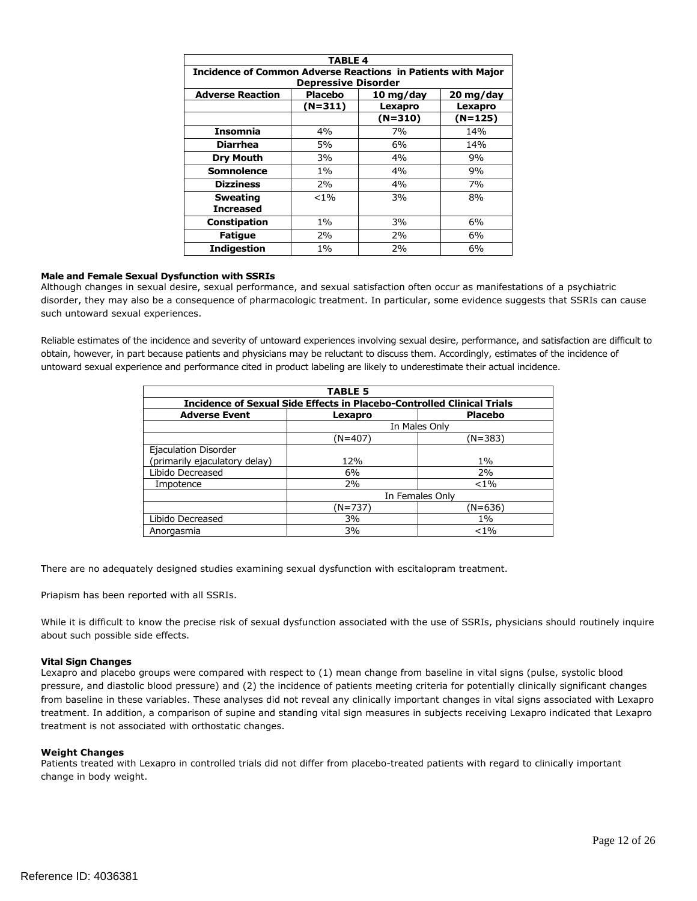| <b>TABLE 4</b>                                                      |                            |           |           |  |  |
|---------------------------------------------------------------------|----------------------------|-----------|-----------|--|--|
| <b>Incidence of Common Adverse Reactions in Patients with Major</b> |                            |           |           |  |  |
|                                                                     | <b>Depressive Disorder</b> |           |           |  |  |
| <b>Adverse Reaction</b>                                             | Placebo                    | 10 mg/day | 20 mg/day |  |  |
|                                                                     | (N=311)                    | Lexapro   | Lexapro   |  |  |
|                                                                     |                            | $(N=310)$ | $(N=125)$ |  |  |
| <b>Insomnia</b>                                                     | 4%                         | 7%        | 14%       |  |  |
| <b>Diarrhea</b>                                                     | 5%                         | 6%        | 14%       |  |  |
| <b>Dry Mouth</b>                                                    | 3%                         | 4%        | 9%        |  |  |
| <b>Somnolence</b>                                                   | $1\%$                      | 4%        | 9%        |  |  |
| <b>Dizziness</b>                                                    | 2%                         | 4%        | 7%        |  |  |
| <b>Sweating</b>                                                     | $< 1\%$                    | 3%        | 8%        |  |  |
| <b>Increased</b>                                                    |                            |           |           |  |  |
| Constipation                                                        | $1\%$                      | 3%        | 6%        |  |  |
| <b>Fatique</b>                                                      | 2%                         | 2%        | 6%        |  |  |
| <b>Indiaestion</b>                                                  | $1\%$                      | 2%        | 6%        |  |  |

#### **Male and Female Sexual Dysfunction with SSRIs**

Although changes in sexual desire, sexual performance, and sexual satisfaction often occur as manifestations of a psychiatric disorder, they may also be a consequence of pharmacologic treatment. In particular, some evidence suggests that SSRIs can cause such untoward sexual experiences.

Reliable estimates of the incidence and severity of untoward experiences involving sexual desire, performance, and satisfaction are difficult to obtain, however, in part because patients and physicians may be reluctant to discuss them. Accordingly, estimates of the incidence of untoward sexual experience and performance cited in product labeling are likely to underestimate their actual incidence.

| <b>TABLE 5</b>                                                                |                 |                |  |  |
|-------------------------------------------------------------------------------|-----------------|----------------|--|--|
| <b>Incidence of Sexual Side Effects in Placebo-Controlled Clinical Trials</b> |                 |                |  |  |
| <b>Adverse Event</b>                                                          | Lexapro         | <b>Placebo</b> |  |  |
|                                                                               | In Males Only   |                |  |  |
|                                                                               | (N=407)         | (N=383)        |  |  |
| Ejaculation Disorder                                                          |                 |                |  |  |
| (primarily ejaculatory delay)                                                 | 12%             | $1\%$          |  |  |
| Libido Decreased                                                              | 6%              | 2%             |  |  |
| Impotence                                                                     | 2%              | $< 1\%$        |  |  |
|                                                                               | In Females Only |                |  |  |
|                                                                               | (N=737)         | (N=636)        |  |  |
| Libido Decreased                                                              | 3%              | $1\%$          |  |  |
| Anorgasmia                                                                    | 3%              | $< 1\%$        |  |  |

There are no adequately designed studies examining sexual dysfunction with escitalopram treatment.

Priapism has been reported with all SSRIs.

 about such possible side effects. While it is difficult to know the precise risk of sexual dysfunction associated with the use of SSRIs, physicians should routinely inquire

#### **Vital Sign Changes**

Lexapro and placebo groups were compared with respect to (1) mean change from baseline in vital signs (pulse, systolic blood pressure, and diastolic blood pressure) and (2) the incidence of patients meeting criteria for potentially clinically significant changes from baseline in these variables. These analyses did not reveal any clinically important changes in vital signs associated with Lexapro treatment. In addition, a comparison of supine and standing vital sign measures in subjects receiving Lexapro indicated that Lexapro treatment is not associated with orthostatic changes.

#### **Weight Changes**

Patients treated with Lexapro in controlled trials did not differ from placebo-treated patients with regard to clinically important change in body weight.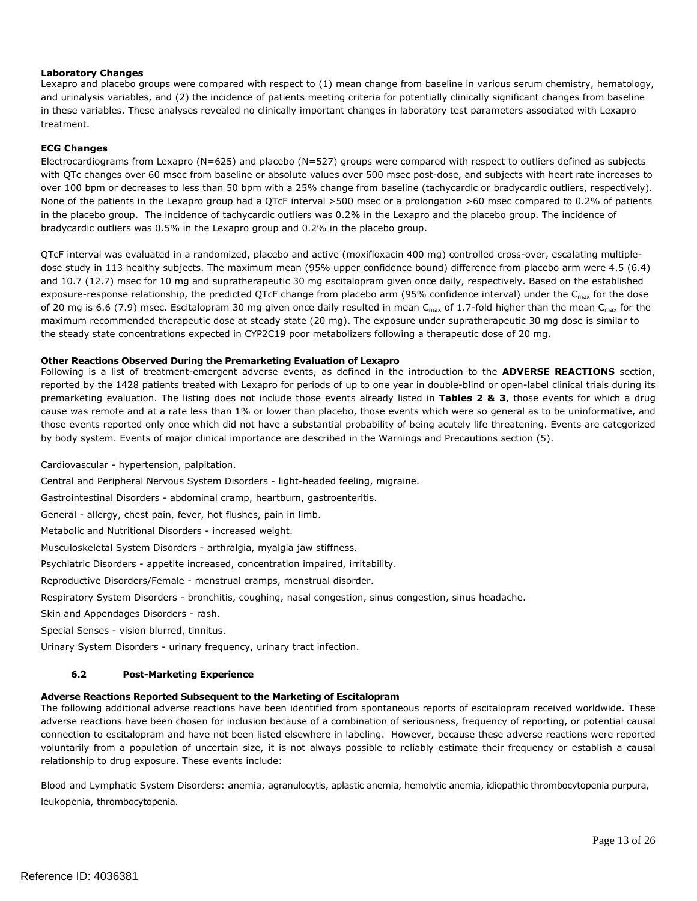#### **Laboratory Changes**

 treatment. Lexapro and placebo groups were compared with respect to (1) mean change from baseline in various serum chemistry, hematology, and urinalysis variables, and (2) the incidence of patients meeting criteria for potentially clinically significant changes from baseline in these variables. These analyses revealed no clinically important changes in laboratory test parameters associated with Lexapro

#### **ECG Changes**

 Electrocardiograms from Lexapro (N=625) and placebo (N=527) groups were compared with respect to outliers defined as subjects over 100 bpm or decreases to less than 50 bpm with a 25% change from baseline (tachycardic or bradycardic outliers, respectively). with QTc changes over 60 msec from baseline or absolute values over 500 msec post-dose, and subjects with heart rate increases to None of the patients in the Lexapro group had a QTcF interval >500 msec or a prolongation >60 msec compared to 0.2% of patients in the placebo group. The incidence of tachycardic outliers was 0.2% in the Lexapro and the placebo group. The incidence of bradycardic outliers was 0.5% in the Lexapro group and 0.2% in the placebo group.

of 20 mg is 6.6 (7.9) msec. Escitalopram 30 mg given once daily resulted in mean C<sub>max</sub> of 1.7-fold higher than the mean C<sub>max</sub> for the QTcF interval was evaluated in a randomized, placebo and active (moxifloxacin 400 mg) controlled cross-over, escalating multipledose study in 113 healthy subjects. The maximum mean (95% upper confidence bound) difference from placebo arm were 4.5 (6.4) and 10.7 (12.7) msec for 10 mg and supratherapeutic 30 mg escitalopram given once daily, respectively. Based on the established exposure-response relationship, the predicted QTcF change from placebo arm (95% confidence interval) under the C<sub>max</sub> for the dose maximum recommended therapeutic dose at steady state (20 mg). The exposure under supratherapeutic 30 mg dose is similar to the steady state concentrations expected in CYP2C19 poor metabolizers following a therapeutic dose of 20 mg.

#### **Other Reactions Observed During the Premarketing Evaluation of Lexapro**

 reported by the 1428 patients treated with Lexapro for periods of up to one year in double-blind or open-label clinical trials during its cause was remote and at a rate less than 1% or lower than placebo, those events which were so general as to be uninformative, and Following is a list of treatment-emergent adverse events, as defined in the introduction to the **ADVERSE REACTIONS** section, premarketing evaluation. The listing does not include those events already listed in **Tables 2 & 3**, those events for which a drug those events reported only once which did not have a substantial probability of being acutely life threatening. Events are categorized by body system. Events of major clinical importance are described in the Warnings and Precautions section (5).

Cardiovascular - hypertension, palpitation.

Central and Peripheral Nervous System Disorders - light-headed feeling, migraine.

Gastrointestinal Disorders - abdominal cramp, heartburn, gastroenteritis.

General - allergy, chest pain, fever, hot flushes, pain in limb.

Metabolic and Nutritional Disorders - increased weight.

Musculoskeletal System Disorders - arthralgia, myalgia jaw stiffness.

Psychiatric Disorders - appetite increased, concentration impaired, irritability.

Reproductive Disorders/Female - menstrual cramps, menstrual disorder.

Respiratory System Disorders - bronchitis, coughing, nasal congestion, sinus congestion, sinus headache.

Skin and Appendages Disorders - rash.

Special Senses - vision blurred, tinnitus.

Urinary System Disorders - urinary frequency, urinary tract infection.

#### **6.2 Post-Marketing Experience**

#### **Adverse Reactions Reported Subsequent to the Marketing of Escitalopram**

The following additional adverse reactions have been identified from spontaneous reports of escitalopram received worldwide. These adverse reactions have been chosen for inclusion because of a combination of seriousness, frequency of reporting, or potential causal connection to escitalopram and have not been listed elsewhere in labeling. However, because these adverse reactions were reported voluntarily from a population of uncertain size, it is not always possible to reliably estimate their frequency or establish a causal relationship to drug exposure. These events include:

Blood and Lymphatic System Disorders: anemia, agranulocytis, aplastic anemia, hemolytic anemia, idiopathic thrombocytopenia purpura, leukopenia, thrombocytopenia.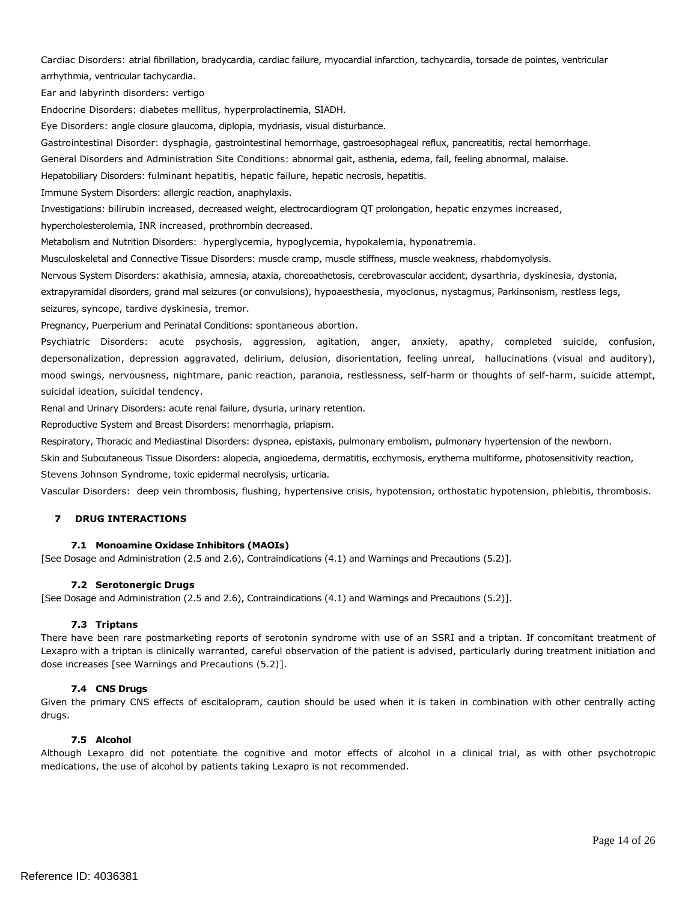Cardiac Disorders: atrial fibrillation, bradycardia, cardiac failure, myocardial infarction, tachycardia, torsade de pointes, ventricular arrhythmia, ventricular tachycardia.

Ear and labyrinth disorders: vertigo

Endocrine Disorders: diabetes mellitus, hyperprolactinemia, SIADH.

Eye Disorders: angle closure glaucoma, diplopia, mydriasis, visual disturbance.

Gastrointestinal Disorder: dysphagia, gastrointestinal hemorrhage, gastroesophageal reflux, pancreatitis, rectal hemorrhage.

General Disorders and Administration Site Conditions: abnormal gait, asthenia, edema, fall, feeling abnormal, malaise.

Hepatobiliary Disorders: fulminant hepatitis, hepatic failure, hepatic necrosis, hepatitis.

Immune System Disorders: allergic reaction, anaphylaxis.

Investigations: bilirubin increased, decreased weight, electrocardiogram QT prolongation, hepatic enzymes increased,

hypercholesterolemia, INR increased, prothrombin decreased.

Metabolism and Nutrition Disorders: hyperglycemia, hypoglycemia, hypokalemia, hyponatremia.

Musculoskeletal and Connective Tissue Disorders: muscle cramp, muscle stiffness, muscle weakness, rhabdomyolysis.

Nervous System Disorders: akathisia, amnesia, ataxia, choreoathetosis, cerebrovascular accident, dysarthria, dyskinesia, dystonia,

extrapyramidal disorders, grand mal seizures (or convulsions), hypoaesthesia, myoclonus, nystagmus, Parkinsonism, restless legs,

seizures, syncope, tardive dyskinesia, tremor.

Pregnancy, Puerperium and Perinatal Conditions: spontaneous abortion.

Psychiatric Disorders: acute psychosis, aggression, agitation, anger, anxiety, apathy, completed suicide, confusion, depersonalization, depression aggravated, delirium, delusion, disorientation, feeling unreal, hallucinations (visual and auditory), mood swings, nervousness, nightmare, panic reaction, paranoia, restlessness, self-harm or thoughts of self-harm, suicide attempt, suicidal ideation, suicidal tendency.

Renal and Urinary Disorders: acute renal failure, dysuria, urinary retention.

Reproductive System and Breast Disorders: menorrhagia, priapism.

Respiratory, Thoracic and Mediastinal Disorders: dyspnea, epistaxis, pulmonary embolism, pulmonary hypertension of the newborn.

Skin and Subcutaneous Tissue Disorders: alopecia, angioedema, dermatitis, ecchymosis, erythema multiforme, photosensitivity reaction,

Stevens Johnson Syndrome, toxic epidermal necrolysis, urticaria.

Vascular Disorders: deep vein thrombosis, flushing, hypertensive crisis, hypotension, orthostatic hypotension, phlebitis, thrombosis.

#### **7 DRUG INTERACTIONS**

#### **7.1 Monoamine Oxidase Inhibitors (MAOIs)**

[See Dosage and Administration (2.5 and 2.6), Contraindications (4.1) and Warnings and Precautions (5.2*)*].

#### **7.2 Serotonergic Drugs**

[See Dosage and Administration (2.5 and 2.6), Contraindications (4.1) and Warnings and Precautions (5.2)].

#### **7.3 Triptans**

There have been rare postmarketing reports of serotonin syndrome with use of an SSRI and a triptan. If concomitant treatment of Lexapro with a triptan is clinically warranted, careful observation of the patient is advised, particularly during treatment initiation and dose increases [*see Warnings and Precautions (5.2)*].

#### **7.4 CNS Drugs**

 Given the primary CNS effects of escitalopram, caution should be used when it is taken in combination with other centrally acting drugs.

#### **7.5 Alcohol**

Although Lexapro did not potentiate the cognitive and motor effects of alcohol in a clinical trial, as with other psychotropic medications, the use of alcohol by patients taking Lexapro is not recommended.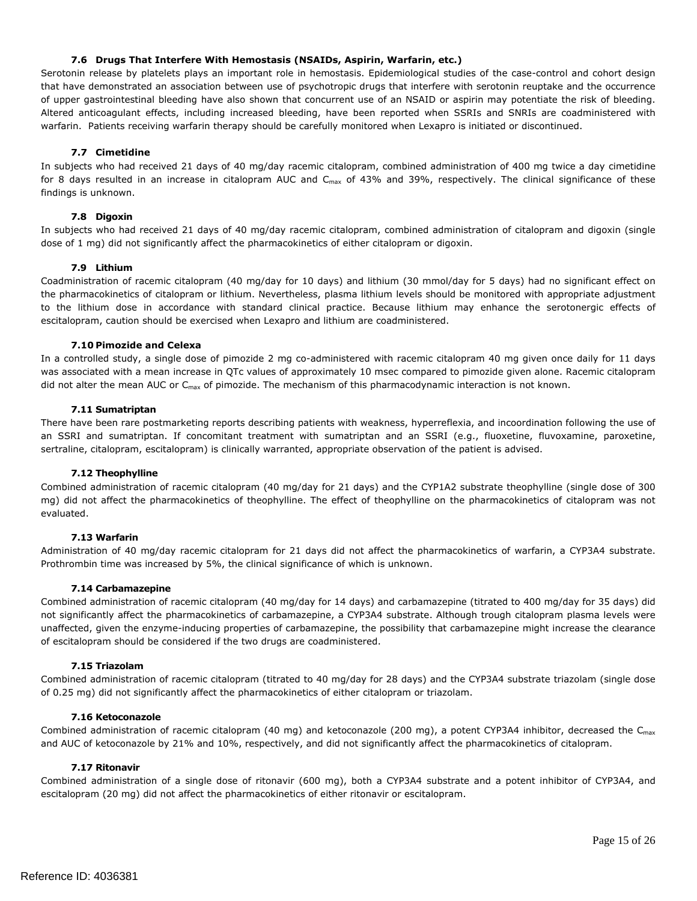#### **7.6 Drugs That Interfere With Hemostasis (NSAIDs, Aspirin, Warfarin, etc.)**

Serotonin release by platelets plays an important role in hemostasis. Epidemiological studies of the case-control and cohort design that have demonstrated an association between use of psychotropic drugs that interfere with serotonin reuptake and the occurrence of upper gastrointestinal bleeding have also shown that concurrent use of an NSAID or aspirin may potentiate the risk of bleeding. Altered anticoagulant effects, including increased bleeding, have been reported when SSRIs and SNRIs are coadministered with warfarin. Patients receiving warfarin therapy should be carefully monitored when Lexapro is initiated or discontinued.

#### **7.7 Cimetidine**

In subjects who had received 21 days of 40 mg/day racemic citalopram, combined administration of 400 mg twice a day cimetidine for 8 days resulted in an increase in citalopram AUC and  $C_{\text{max}}$  of 43% and 39%, respectively. The clinical significance of these findings is unknown.

#### **7.8 Digoxin**

In subjects who had received 21 days of 40 mg/day racemic citalopram, combined administration of citalopram and digoxin (single dose of 1 mg) did not significantly affect the pharmacokinetics of either citalopram or digoxin.

#### **7.9 Lithium**

 Coadministration of racemic citalopram (40 mg/day for 10 days) and lithium (30 mmol/day for 5 days) had no significant effect on the pharmacokinetics of citalopram or lithium. Nevertheless, plasma lithium levels should be monitored with appropriate adjustment to the lithium dose in accordance with standard clinical practice. Because lithium may enhance the serotonergic effects of escitalopram, caution should be exercised when Lexapro and lithium are coadministered.

#### **7.10 Pimozide and Celexa**

In a controlled study, a single dose of pimozide 2 mg co-administered with racemic citalopram 40 mg given once daily for 11 days was associated with a mean increase in QTc values of approximately 10 msec compared to pimozide given alone. Racemic citalopram did not alter the mean AUC or C<sub>max</sub> of pimozide. The mechanism of this pharmacodynamic interaction is not known.

#### **7.11 Sumatriptan**

There have been rare postmarketing reports describing patients with weakness, hyperreflexia, and incoordination following the use of an SSRI and sumatriptan. If concomitant treatment with sumatriptan and an SSRI (e.g., fluoxetine, fluvoxamine, paroxetine, sertraline, citalopram, escitalopram) is clinically warranted, appropriate observation of the patient is advised.

#### **7.12 Theophylline**

Combined administration of racemic citalopram (40 mg/day for 21 days) and the CYP1A2 substrate theophylline (single dose of 300 mg) did not affect the pharmacokinetics of theophylline. The effect of theophylline on the pharmacokinetics of citalopram was not evaluated.

#### **7.13 Warfarin**

Administration of 40 mg/day racemic citalopram for 21 days did not affect the pharmacokinetics of warfarin, a CYP3A4 substrate. Prothrombin time was increased by 5%, the clinical significance of which is unknown.

#### **7.14 Carbamazepine**

 not significantly affect the pharmacokinetics of carbamazepine, a CYP3A4 substrate. Although trough citalopram plasma levels were Combined administration of racemic citalopram (40 mg/day for 14 days) and carbamazepine (titrated to 400 mg/day for 35 days) did unaffected, given the enzyme-inducing properties of carbamazepine, the possibility that carbamazepine might increase the clearance of escitalopram should be considered if the two drugs are coadministered.

#### **7.15 Triazolam**

Combined administration of racemic citalopram (titrated to 40 mg/day for 28 days) and the CYP3A4 substrate triazolam (single dose of 0.25 mg) did not significantly affect the pharmacokinetics of either citalopram or triazolam.

#### **7.16 Ketoconazole**

Combined administration of racemic citalopram (40 mg) and ketoconazole (200 mg), a potent CYP3A4 inhibitor, decreased the C<sub>max</sub> and AUC of ketoconazole by 21% and 10%, respectively, and did not significantly affect the pharmacokinetics of citalopram.

#### **7.17 Ritonavir**

Combined administration of a single dose of ritonavir (600 mg), both a CYP3A4 substrate and a potent inhibitor of CYP3A4, and escitalopram (20 mg) did not affect the pharmacokinetics of either ritonavir or escitalopram.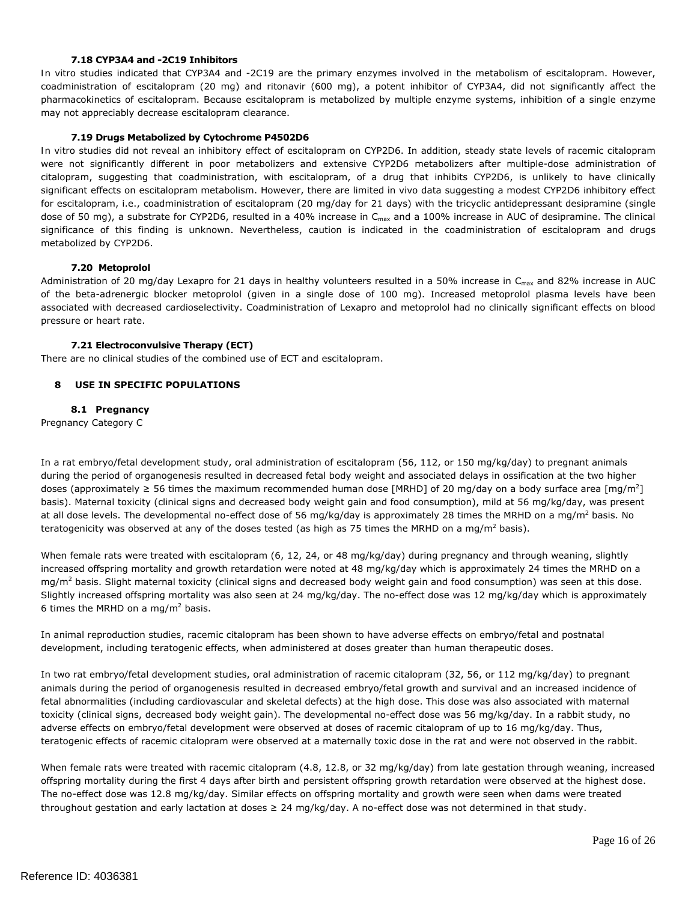#### **7.18 CYP3A4 and -2C19 Inhibitors**

*In vitro* studies indicated that CYP3A4 and -2C19 are the primary enzymes involved in the metabolism of escitalopram. However, coadministration of escitalopram (20 mg) and ritonavir (600 mg), a potent inhibitor of CYP3A4, did not significantly affect the pharmacokinetics of escitalopram. Because escitalopram is metabolized by multiple enzyme systems, inhibition of a single enzyme may not appreciably decrease escitalopram clearance.

#### **7.19 Drugs Metabolized by Cytochrome P4502D6**

 citalopram, suggesting that coadministration, with escitalopram, of a drug that inhibits CYP2D6, is unlikely to have clinically *In vitro* studies did not reveal an inhibitory effect of escitalopram on CYP2D6. In addition, steady state levels of racemic citalopram were not significantly different in poor metabolizers and extensive CYP2D6 metabolizers after multiple-dose administration of significant effects on escitalopram metabolism. However, there are limited *in vivo* data suggesting a modest CYP2D6 inhibitory effect for escitalopram, i.e., coadministration of escitalopram (20 mg/day for 21 days) with the tricyclic antidepressant desipramine (single dose of 50 mg), a substrate for CYP2D6, resulted in a 40% increase in  $C_{\text{max}}$  and a 100% increase in AUC of desipramine. The clinical significance of this finding is unknown. Nevertheless, caution is indicated in the coadministration of escitalopram and drugs metabolized by CYP2D6.

#### **7.20 Metoprolol**

Administration of 20 mg/day Lexapro for 21 days in healthy volunteers resulted in a 50% increase in C<sub>max</sub> and 82% increase in AUC of the beta-adrenergic blocker metoprolol (given in a single dose of 100 mg). Increased metoprolol plasma levels have been associated with decreased cardioselectivity. Coadministration of Lexapro and metoprolol had no clinically significant effects on blood pressure or heart rate.

#### **7.21 Electroconvulsive Therapy (ECT)**

There are no clinical studies of the combined use of ECT and escitalopram.

## **USE IN SPECIFIC POPULATIONS 8.1 Pregnancy 8**

Pregnancy Category C

teratogenicity was observed at any of the doses tested (as high as 75 times the MRHD on a mg/m $^2$  basis). In a rat embryo/fetal development study, oral administration of escitalopram (56, 112, or 150 mg/kg/day) to pregnant animals during the period of organogenesis resulted in decreased fetal body weight and associated delays in ossification at the two higher doses (approximately  $\geq 56$  times the maximum recommended human dose [MRHD] of 20 mg/day on a body surface area [mg/m<sup>2</sup>] basis). Maternal toxicity (clinical signs and decreased body weight gain and food consumption), mild at 56 mg/kg/day, was present at all dose levels. The developmental no-effect dose of 56 mg/kg/day is approximately 28 times the MRHD on a mg/m<sup>2</sup> basis. No

mg/m<sup>2</sup> basis. Slight maternal toxicity (clinical signs and decreased body weight gain and food consumption) was seen at this dose. When female rats were treated with escitalopram (6, 12, 24, or 48 mg/kg/day) during pregnancy and through weaning, slightly increased offspring mortality and growth retardation were noted at 48 mg/kg/day which is approximately 24 times the MRHD on a Slightly increased offspring mortality was also seen at 24 mg/kg/day. The no-effect dose was 12 mg/kg/day which is approximately 6 times the MRHD on a mg/m<sup>2</sup> basis.

In animal reproduction studies, racemic citalopram has been shown to have adverse effects on embryo/fetal and postnatal development, including teratogenic effects, when administered at doses greater than human therapeutic doses.

In two rat embryo/fetal development studies, oral administration of racemic citalopram (32, 56, or 112 mg/kg/day) to pregnant animals during the period of organogenesis resulted in decreased embryo/fetal growth and survival and an increased incidence of fetal abnormalities (including cardiovascular and skeletal defects) at the high dose. This dose was also associated with maternal toxicity (clinical signs, decreased body weight gain). The developmental no-effect dose was 56 mg/kg/day. In a rabbit study, no adverse effects on embryo/fetal development were observed at doses of racemic citalopram of up to 16 mg/kg/day. Thus, teratogenic effects of racemic citalopram were observed at a maternally toxic dose in the rat and were not observed in the rabbit.

 throughout gestation and early lactation at doses ≥ 24 mg/kg/day. A no-effect dose was not determined in that study. When female rats were treated with racemic citalopram (4.8, 12.8, or 32 mg/kg/day) from late gestation through weaning, increased offspring mortality during the first 4 days after birth and persistent offspring growth retardation were observed at the highest dose. The no-effect dose was 12.8 mg/kg/day. Similar effects on offspring mortality and growth were seen when dams were treated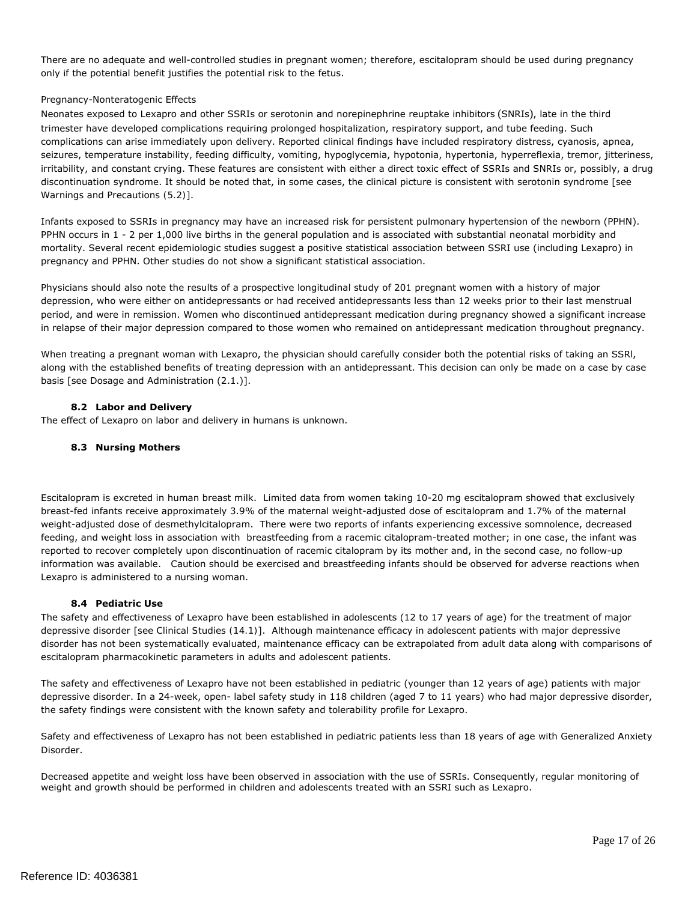only if the potential benefit justifies the potential risk to the fetus. There are no adequate and well-controlled studies in pregnant women; therefore, escitalopram should be used during pregnancy

#### Pregnancy-Nonteratogenic Effects

Neonates exposed to Lexapro and other SSRIs or serotonin and norepinephrine reuptake inhibitors (SNRIs), late in the third trimester have developed complications requiring prolonged hospitalization, respiratory support, and tube feeding. Such complications can arise immediately upon delivery. Reported clinical findings have included respiratory distress, cyanosis, apnea, seizures, temperature instability, feeding difficulty, vomiting, hypoglycemia, hypotonia, hypertonia, hyperreflexia, tremor, jitteriness, irritability, and constant crying. These features are consistent with either a direct toxic effect of SSRIs and SNRIs or, possibly, a drug discontinuation syndrome. It should be noted that, in some cases, the clinical picture is consistent with serotonin syndrome [*see Warnings and Precautions (5.2)*].

 PPHN occurs in 1 - 2 per 1,000 live births in the general population and is associated with substantial neonatal morbidity and Infants exposed to SSRIs in pregnancy may have an increased risk for persistent pulmonary hypertension of the newborn (PPHN). mortality. Several recent epidemiologic studies suggest a positive statistical association between SSRI use (including Lexapro) in pregnancy and PPHN. Other studies do not show a significant statistical association.

Physicians should also note the results of a prospective longitudinal study of 201 pregnant women with a history of major depression, who were either on antidepressants or had received antidepressants less than 12 weeks prior to their last menstrual period, and were in remission. Women who discontinued antidepressant medication during pregnancy showed a significant increase in relapse of their major depression compared to those women who remained on antidepressant medication throughout pregnancy.

When treating a pregnant woman with Lexapro, the physician should carefully consider both the potential risks of taking an SSRl, along with the established benefits of treating depression with an antidepressant. This decision can only be made on a case by case basis [see Dosage and Administration (2.1.)].

#### **8.2 Labor and Delivery**

The effect of Lexapro on labor and delivery in humans is unknown.

#### **8.3 Nursing Mothers**

 reported to recover completely upon discontinuation of racemic citalopram by its mother and, in the second case, no follow-up Escitalopram is excreted in human breast milk. Limited data from women taking 10-20 mg escitalopram showed that exclusively breast-fed infants receive approximately 3.9% of the maternal weight-adjusted dose of escitalopram and 1.7% of the maternal weight-adjusted dose of desmethylcitalopram. There were two reports of infants experiencing excessive somnolence, decreased feeding, and weight loss in association with breastfeeding from a racemic citalopram-treated mother; in one case, the infant was information was available. Caution should be exercised and breastfeeding infants should be observed for adverse reactions when Lexapro is administered to a nursing woman.

#### **8.4 Pediatric Use**

The safety and effectiveness of Lexapro have been established in adolescents (12 to 17 years of age) for the treatment of major depressive disorder [*see Clinical Studies (14.1)*]. Although maintenance efficacy in adolescent patients with major depressive disorder has not been systematically evaluated, maintenance efficacy can be extrapolated from adult data along with comparisons of escitalopram pharmacokinetic parameters in adults and adolescent patients.

The safety and effectiveness of Lexapro have not been established in pediatric (younger than 12 years of age) patients with major depressive disorder. In a 24-week, open- label safety study in 118 children (aged 7 to 11 years) who had major depressive disorder, the safety findings were consistent with the known safety and tolerability profile for Lexapro.

Safety and effectiveness of Lexapro has not been established in pediatric patients less than 18 years of age with Generalized Anxiety Disorder.

Decreased appetite and weight loss have been observed in association with the use of SSRIs. Consequently, regular monitoring of weight and growth should be performed in children and adolescents treated with an SSRI such as Lexapro.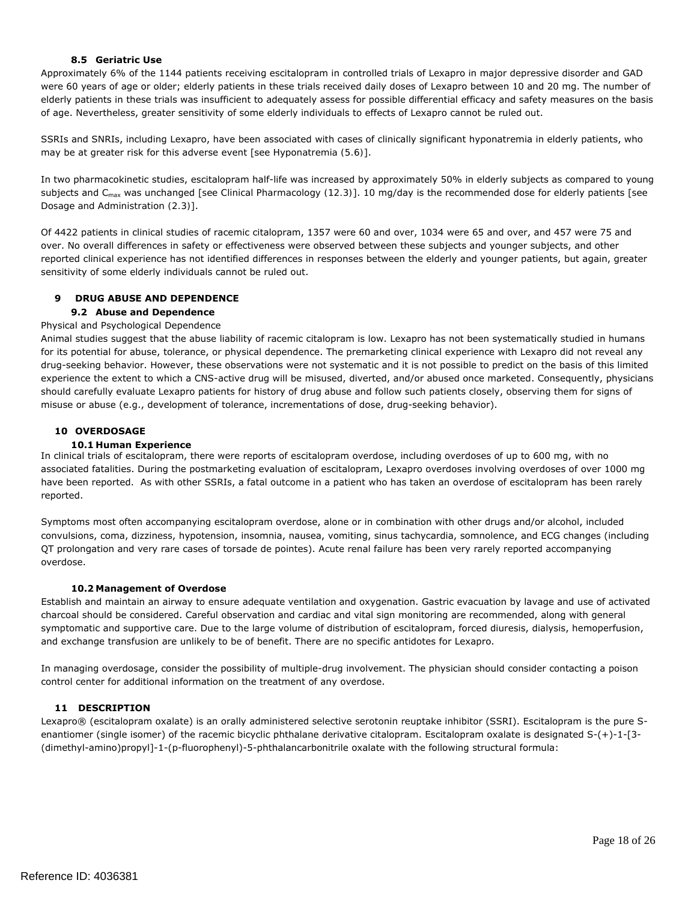#### **8.5 Geriatric Use**

of age. Nevertheless, greater sensitivity of some elderly individuals to effects of Lexapro cannot be ruled out. Approximately 6% of the 1144 patients receiving escitalopram in controlled trials of Lexapro in major depressive disorder and GAD were 60 years of age or older; elderly patients in these trials received daily doses of Lexapro between 10 and 20 mg. The number of elderly patients in these trials was insufficient to adequately assess for possible differential efficacy and safety measures on the basis

SSRIs and SNRIs, including Lexapro, have been associated with cases of clinically significant hyponatremia in elderly patients, who may be at greater risk for this adverse event [see *Hyponatremia (5.6)*].

In two pharmacokinetic studies, escitalopram half-life was increased by approximately 50% in elderly subjects as compared to young subjects and Cmax was unchanged [*see Clinical Pharmacology (12.3)*]. 10 mg/day is the recommended dose for elderly patients [*see Dosage and Administration (2.3)*].

 sensitivity of some elderly individuals cannot be ruled out. Of 4422 patients in clinical studies of racemic citalopram, 1357 were 60 and over, 1034 were 65 and over, and 457 were 75 and over. No overall differences in safety or effectiveness were observed between these subjects and younger subjects, and other reported clinical experience has not identified differences in responses between the elderly and younger patients, but again, greater

#### **9 DRUG ABUSE AND DEPENDENCE**

#### **9.2 Abuse and Dependence**

#### Physical and Psychological Dependence

Animal studies suggest that the abuse liability of racemic citalopram is low. Lexapro has not been systematically studied in humans for its potential for abuse, tolerance, or physical dependence. The premarketing clinical experience with Lexapro did not reveal any drug-seeking behavior. However, these observations were not systematic and it is not possible to predict on the basis of this limited experience the extent to which a CNS-active drug will be misused, diverted, and/or abused once marketed. Consequently, physicians should carefully evaluate Lexapro patients for history of drug abuse and follow such patients closely, observing them for signs of misuse or abuse (e.g., development of tolerance, incrementations of dose, drug-seeking behavior).

#### **10 OVERDOSAGE**

#### **10.1 Human Experience**

In clinical trials of escitalopram, there were reports of escitalopram overdose, including overdoses of up to 600 mg, with no associated fatalities. During the postmarketing evaluation of escitalopram, Lexapro overdoses involving overdoses of over 1000 mg have been reported. As with other SSRIs, a fatal outcome in a patient who has taken an overdose of escitalopram has been rarely reported.

Symptoms most often accompanying escitalopram overdose, alone or in combination with other drugs and/or alcohol, included convulsions, coma, dizziness, hypotension, insomnia, nausea, vomiting, sinus tachycardia, somnolence, and ECG changes (including QT prolongation and very rare cases of torsade de pointes). Acute renal failure has been very rarely reported accompanying overdose.

#### **10.2 Management of Overdose**

Establish and maintain an airway to ensure adequate ventilation and oxygenation. Gastric evacuation by lavage and use of activated charcoal should be considered. Careful observation and cardiac and vital sign monitoring are recommended, along with general symptomatic and supportive care. Due to the large volume of distribution of escitalopram, forced diuresis, dialysis, hemoperfusion, and exchange transfusion are unlikely to be of benefit. There are no specific antidotes for Lexapro.

 control center for additional information on the treatment of any overdose. In managing overdosage, consider the possibility of multiple-drug involvement. The physician should consider contacting a poison

#### **11 DESCRIPTION**

Lexapro® (escitalopram oxalate) is an orally administered selective serotonin reuptake inhibitor (SSRI). Escitalopram is the pure Senantiomer (single isomer) of the racemic bicyclic phthalane derivative citalopram. Escitalopram oxalate is designated S-(+)-1-[3-(dimethyl-amino)propyl]-1-(*p*-fluorophenyl)-5-phthalancarbonitrile oxalate with the following structural formula: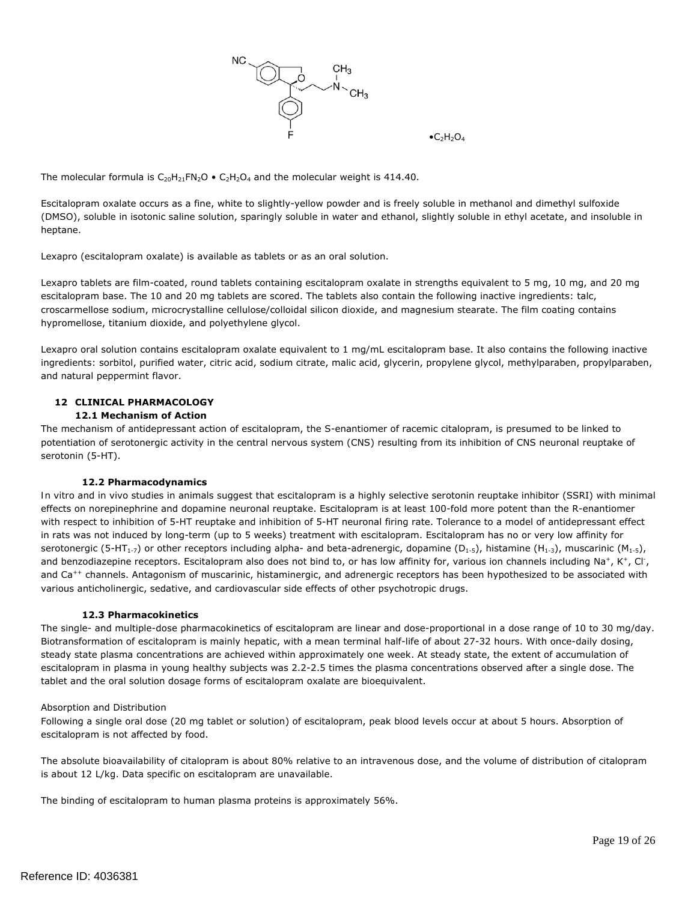

The molecular formula is  $C_{20}H_{21}F N_2O \bullet C_2H_2O_4$  and the molecular weight is 414.40.

Escitalopram oxalate occurs as a fine, white to slightly-yellow powder and is freely soluble in methanol and dimethyl sulfoxide (DMSO), soluble in isotonic saline solution, sparingly soluble in water and ethanol, slightly soluble in ethyl acetate, and insoluble in heptane.

Lexapro (escitalopram oxalate) is available as tablets or as an oral solution.

 Lexapro tablets are film-coated, round tablets containing escitalopram oxalate in strengths equivalent to 5 mg, 10 mg, and 20 mg croscarmellose sodium, microcrystalline cellulose/colloidal silicon dioxide, and magnesium stearate. The film coating contains escitalopram base. The 10 and 20 mg tablets are scored. The tablets also contain the following inactive ingredients: talc, hypromellose, titanium dioxide, and polyethylene glycol.

Lexapro oral solution contains escitalopram oxalate equivalent to 1 mg/mL escitalopram base. It also contains the following inactive ingredients: sorbitol, purified water, citric acid, sodium citrate, malic acid, glycerin, propylene glycol, methylparaben, propylparaben, and natural peppermint flavor.

# **12 CLINICAL PHARMACOLOGY**

 **12.1 Mechanism of Action** 

The mechanism of antidepressant action of escitalopram, the S-enantiomer of racemic citalopram, is presumed to be linked to potentiation of serotonergic activity in the central nervous system (CNS) resulting from its inhibition of CNS neuronal reuptake of serotonin (5-HT).

#### **12.2 Pharmacodynamics**

 various anticholinergic, sedative, and cardiovascular side effects of other psychotropic drugs. *In vitro* and *in vivo* studies in animals suggest that escitalopram is a highly selective serotonin reuptake inhibitor (SSRI) with minimal effects on norepinephrine and dopamine neuronal reuptake. Escitalopram is at least 100-fold more potent than the R-enantiomer with respect to inhibition of 5-HT reuptake and inhibition of 5-HT neuronal firing rate. Tolerance to a model of antidepressant effect in rats was not induced by long-term (up to 5 weeks) treatment with escitalopram. Escitalopram has no or very low affinity for serotonergic (5-HT<sub>1-7</sub>) or other receptors including alpha- and beta-adrenergic, dopamine (D<sub>1-5</sub>), histamine (H<sub>1-3</sub>), muscarinic (M<sub>1-5</sub>), and benzodiazepine receptors. Escitalopram also does not bind to, or has low affinity for, various ion channels including Na<sup>+</sup>, K<sup>+</sup>, Cl<sup>-</sup>, and Ca<sup>++</sup> channels. Antagonism of muscarinic, histaminergic, and adrenergic receptors has been hypothesized to be associated with

#### **12.3 Pharmacokinetics**

The single- and multiple-dose pharmacokinetics of escitalopram are linear and dose-proportional in a dose range of 10 to 30 mg/day. Biotransformation of escitalopram is mainly hepatic, with a mean terminal half-life of about 27-32 hours. With once-daily dosing, steady state plasma concentrations are achieved within approximately one week. At steady state, the extent of accumulation of escitalopram in plasma in young healthy subjects was 2.2-2.5 times the plasma concentrations observed after a single dose. The tablet and the oral solution dosage forms of escitalopram oxalate are bioequivalent.

#### Absorption and Distribution

Following a single oral dose (20 mg tablet or solution) of escitalopram, peak blood levels occur at about 5 hours. Absorption of escitalopram is not affected by food.

The absolute bioavailability of citalopram is about 80% relative to an intravenous dose, and the volume of distribution of citalopram is about 12 L/kg. Data specific on escitalopram are unavailable.

The binding of escitalopram to human plasma proteins is approximately 56%.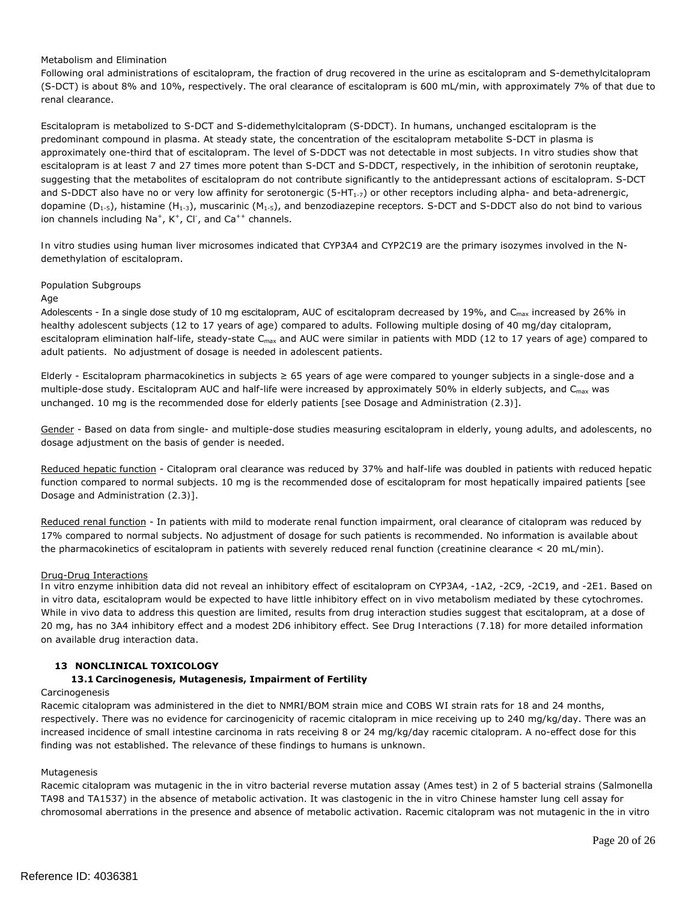#### Metabolism and Elimination

Following oral administrations of escitalopram, the fraction of drug recovered in the urine as escitalopram and S-demethylcitalopram (S-DCT) is about 8% and 10%, respectively. The oral clearance of escitalopram is 600 mL/min, with approximately 7% of that due to renal clearance.

Escitalopram is metabolized to S-DCT and S-didemethylcitalopram (S-DDCT). In humans, unchanged escitalopram is the predominant compound in plasma. At steady state, the concentration of the escitalopram metabolite S-DCT in plasma is approximately one-third that of escitalopram. The level of S-DDCT was not detectable in most subjects. *In vitro* studies show that escitalopram is at least 7 and 27 times more potent than S-DCT and S-DDCT, respectively, in the inhibition of serotonin reuptake, suggesting that the metabolites of escitalopram do not contribute significantly to the antidepressant actions of escitalopram. S-DCT and S-DDCT also have no or very low affinity for serotonergic (5-HT<sub>1-7</sub>) or other receptors including alpha- and beta-adrenergic, dopamine  $(D_{1-5})$ , histamine  $(H_{1-3})$ , muscarinic  $(M_{1-5})$ , and benzodiazepine receptors. S-DCT and S-DDCT also do not bind to various ion channels including  $\text{Na}^+$ , K<sup>+</sup>, Cl<sup>-</sup>, and Ca<sup>++</sup> channels.

*In vitro* studies using human liver microsomes indicated that CYP3A4 and CYP2C19 are the primary isozymes involved in the Ndemethylation of escitalopram.

#### Population Subgroups

#### Age

Adolescents - In a single dose study of 10 mg escitalopram, AUC of escitalopram decreased by 19%, and C<sub>max</sub> increased by 26% in healthy adolescent subjects (12 to 17 years of age) compared to adults. Following multiple dosing of 40 mg/day citalopram, escitalopram elimination half-life, steady-state C<sub>max</sub> and AUC were similar in patients with MDD (12 to 17 years of age) compared to adult patients. No adjustment of dosage is needed in adolescent patients.

unchanged. 10 mg is the recommended dose for elderly patients [see Dosage and Administration (2.3)]. Elderly - Escitalopram pharmacokinetics in subjects ≥ 65 years of age were compared to younger subjects in a single-dose and a multiple-dose study. Escitalopram AUC and half-life were increased by approximately 50% in elderly subjects, and  $C<sub>max</sub>$  was

Gender - Based on data from single- and multiple-dose studies measuring escitalopram in elderly, young adults, and adolescents, no dosage adjustment on the basis of gender is needed.

Reduced hepatic function - Citalopram oral clearance was reduced by 37% and half-life was doubled in patients with reduced hepatic function compared to normal subjects. 10 mg is the recommended dose of escitalopram for most hepatically impaired patients [*see Dosage and Administration (2.3)*].

Reduced renal function - In patients with mild to moderate renal function impairment, oral clearance of citalopram was reduced by 17% compared to normal subjects. No adjustment of dosage for such patients is recommended. No information is available about the pharmacokinetics of escitalopram in patients with severely reduced renal function (creatinine clearance < 20 mL/min).

#### Drug-Drug Interactions

*In vitro* enzyme inhibition data did not reveal an inhibitory effect of escitalopram on CYP3A4, -1A2, -2C9, -2C19, and -2E1. Based on *in vitro* data, escitalopram would be expected to have little inhibitory effect on *in vivo* metabolism mediated by these cytochromes. While *in vivo* data to address this question are limited, results from drug interaction studies suggest that escitalopram, at a dose of 20 mg, has no 3A4 inhibitory effect and a modest 2D6 inhibitory effect. See *Drug Interactions (7.18)* for more detailed information on available drug interaction data.

#### **13 NONCLINICAL TOXICOLOGY**

#### **13.1 Carcinogenesis, Mutagenesis, Impairment of Fertility**

#### Carcinogenesis

Racemic citalopram was administered in the diet to NMRI/BOM strain mice and COBS WI strain rats for 18 and 24 months, respectively. There was no evidence for carcinogenicity of racemic citalopram in mice receiving up to 240 mg/kg/day. There was an increased incidence of small intestine carcinoma in rats receiving 8 or 24 mg/kg/day racemic citalopram. A no-effect dose for this finding was not established. The relevance of these findings to humans is unknown.

#### Mutagenesis

Racemic citalopram was mutagenic in the *in vitro* bacterial reverse mutation assay (Ames test) in 2 of 5 bacterial strains (Salmonella TA98 and TA1537) in the absence of metabolic activation. It was clastogenic in the *in vitro* Chinese hamster lung cell assay for chromosomal aberrations in the presence and absence of metabolic activation. Racemic citalopram was not mutagenic in the *in vitro*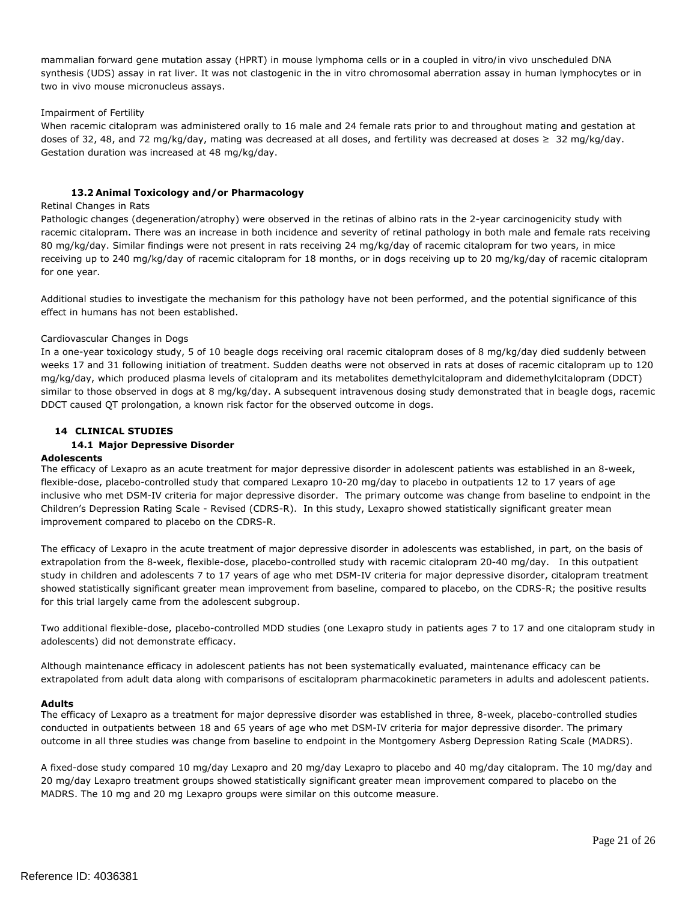mammalian forward gene mutation assay (HPRT) in mouse lymphoma cells or in a coupled *in vitro/in vivo* unscheduled DNA synthesis (UDS) assay in rat liver. It was not clastogenic in the *in vitro* chromosomal aberration assay in human lymphocytes or in two *in vivo* mouse micronucleus assays.

#### Impairment of Fertility

When racemic citalopram was administered orally to 16 male and 24 female rats prior to and throughout mating and gestation at doses of 32, 48, and 72 mg/kg/day, mating was decreased at all doses, and fertility was decreased at doses ≥ 32 mg/kg/day. Gestation duration was increased at 48 mg/kg/day.

#### **13.2 Animal Toxicology and/or Pharmacology**

#### Retinal Changes in Rats

Pathologic changes (degeneration/atrophy) were observed in the retinas of albino rats in the 2-year carcinogenicity study with racemic citalopram. There was an increase in both incidence and severity of retinal pathology in both male and female rats receiving 80 mg/kg/day. Similar findings were not present in rats receiving 24 mg/kg/day of racemic citalopram for two years, in mice receiving up to 240 mg/kg/day of racemic citalopram for 18 months, or in dogs receiving up to 20 mg/kg/day of racemic citalopram for one year.

Additional studies to investigate the mechanism for this pathology have not been performed, and the potential significance of this effect in humans has not been established.

#### Cardiovascular Changes in Dogs

In a one-year toxicology study, 5 of 10 beagle dogs receiving oral racemic citalopram doses of 8 mg/kg/day died suddenly between weeks 17 and 31 following initiation of treatment. Sudden deaths were not observed in rats at doses of racemic citalopram up to 120 mg/kg/day, which produced plasma levels of citalopram and its metabolites demethylcitalopram and didemethylcitalopram (DDCT) similar to those observed in dogs at 8 mg/kg/day. A subsequent intravenous dosing study demonstrated that in beagle dogs, racemic DDCT caused QT prolongation, a known risk factor for the observed outcome in dogs.

#### **14 CLINICAL STUDIES**

#### **14.1 Major Depressive Disorder**

#### **Adolescents**

The efficacy of Lexapro as an acute treatment for major depressive disorder in adolescent patients was established in an 8-week, flexible-dose, placebo-controlled study that compared Lexapro 10-20 mg/day to placebo in outpatients 12 to 17 years of age inclusive who met DSM-IV criteria for major depressive disorder. The primary outcome was change from baseline to endpoint in the Children's Depression Rating Scale - Revised (CDRS-R). In this study, Lexapro showed statistically significant greater mean improvement compared to placebo on the CDRS-R.

for this trial largely came from the adolescent subgroup. The efficacy of Lexapro in the acute treatment of major depressive disorder in adolescents was established, in part, on the basis of extrapolation from the 8-week, flexible-dose, placebo-controlled study with racemic citalopram 20-40 mg/day. In this outpatient study in children and adolescents 7 to 17 years of age who met DSM-IV criteria for major depressive disorder, citalopram treatment showed statistically significant greater mean improvement from baseline, compared to placebo, on the CDRS-R; the positive results

Two additional flexible-dose, placebo-controlled MDD studies (one Lexapro study in patients ages 7 to 17 and one citalopram study in adolescents) did not demonstrate efficacy.

Although maintenance efficacy in adolescent patients has not been systematically evaluated, maintenance efficacy can be extrapolated from adult data along with comparisons of escitalopram pharmacokinetic parameters in adults and adolescent patients.

#### **Adults**

outcome in all three studies was change from baseline to endpoint in the Montgomery Asberg Depression Rating Scale (MADRS). The efficacy of Lexapro as a treatment for major depressive disorder was established in three, 8-week, placebo-controlled studies conducted in outpatients between 18 and 65 years of age who met DSM-IV criteria for major depressive disorder. The primary

A fixed-dose study compared 10 mg/day Lexapro and 20 mg/day Lexapro to placebo and 40 mg/day citalopram. The 10 mg/day and 20 mg/day Lexapro treatment groups showed statistically significant greater mean improvement compared to placebo on the MADRS. The 10 mg and 20 mg Lexapro groups were similar on this outcome measure.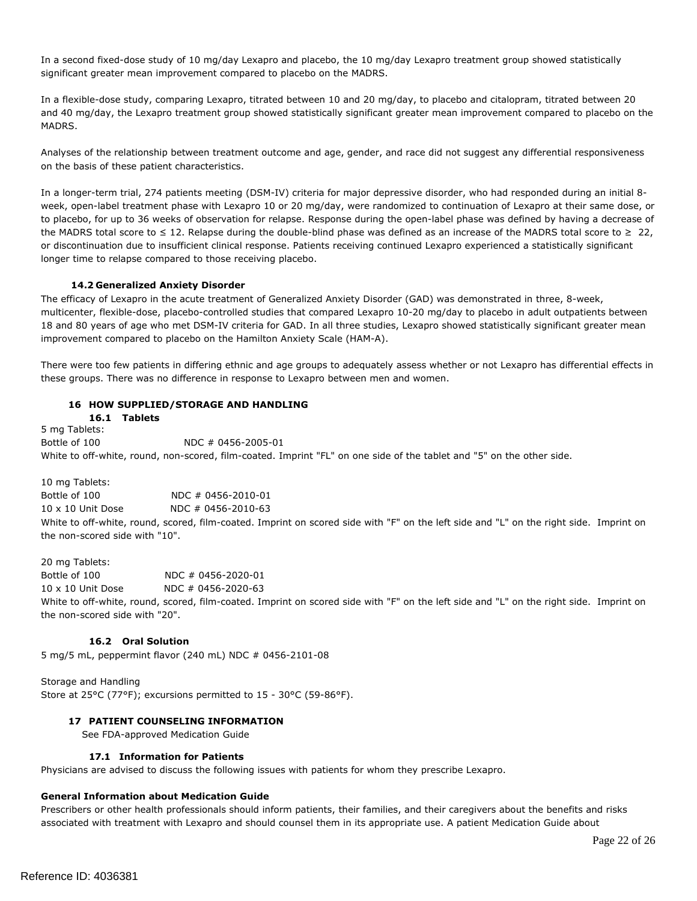In a second fixed-dose study of 10 mg/day Lexapro and placebo, the 10 mg/day Lexapro treatment group showed statistically significant greater mean improvement compared to placebo on the MADRS.

In a flexible-dose study, comparing Lexapro, titrated between 10 and 20 mg/day, to placebo and citalopram, titrated between 20 and 40 mg/day, the Lexapro treatment group showed statistically significant greater mean improvement compared to placebo on the MADRS.

Analyses of the relationship between treatment outcome and age, gender, and race did not suggest any differential responsiveness on the basis of these patient characteristics.

 the MADRS total score to ≤ 12. Relapse during the double-blind phase was defined as an increase of the MADRS total score to ≥ 22, In a longer-term trial, 274 patients meeting (DSM-IV) criteria for major depressive disorder, who had responded during an initial 8 week, open-label treatment phase with Lexapro 10 or 20 mg/day, were randomized to continuation of Lexapro at their same dose, or to placebo, for up to 36 weeks of observation for relapse. Response during the open-label phase was defined by having a decrease of or discontinuation due to insufficient clinical response. Patients receiving continued Lexapro experienced a statistically significant longer time to relapse compared to those receiving placebo.

#### **14.2 Generalized Anxiety Disorder**

The efficacy of Lexapro in the acute treatment of Generalized Anxiety Disorder (GAD) was demonstrated in three, 8-week, multicenter, flexible-dose, placebo-controlled studies that compared Lexapro 10-20 mg/day to placebo in adult outpatients between 18 and 80 years of age who met DSM-IV criteria for GAD. In all three studies, Lexapro showed statistically significant greater mean improvement compared to placebo on the Hamilton Anxiety Scale (HAM-A).

There were too few patients in differing ethnic and age groups to adequately assess whether or not Lexapro has differential effects in these groups. There was no difference in response to Lexapro between men and women.

#### **16 HOW SUPPLIED/STORAGE AND HANDLING**

### **16.1 Tablets**

 5 mg Tablets: Bottle of 100 NDC # 0456-2005-01 White to off-white, round, non-scored, film-coated. Imprint "FL" on one side of the tablet and "5" on the other side.

10 mg Tablets: Bottle of 100 NDC # 0456-2010-01 10 x 10 Unit Dose NDC # 0456-2010-63 White to off-white, round, scored, film-coated. Imprint on scored side with "F" on the left side and "L" on the right side. Imprint on the non-scored side with "10".

20 mg Tablets: Bottle of 100 NDC # 0456-2020-01 10 x 10 Unit Dose NDC # 0456-2020-63 White to off-white, round, scored, film-coated. Imprint on scored side with "F" on the left side and "L" on the right side. Imprint on the non-scored side with "20".

#### **16.2 Oral Solution**

5 mg/5 mL, peppermint flavor (240 mL) NDC # 0456-2101-08

Storage and Handling Store at 25°C (77°F); excursions permitted to 15 - 30°C (59-86°F).

### **17 PATIENT COUNSELING INFORMATION**

See FDA-approved Medication Guide

### **17.1 Information for Patients**

Physicians are advised to discuss the following issues with patients for whom they prescribe Lexapro.

### **General Information about Medication Guide**

Prescribers or other health professionals should inform patients, their families, and their caregivers about the benefits and risks associated with treatment with Lexapro and should counsel them in its appropriate use. A patient Medication Guide about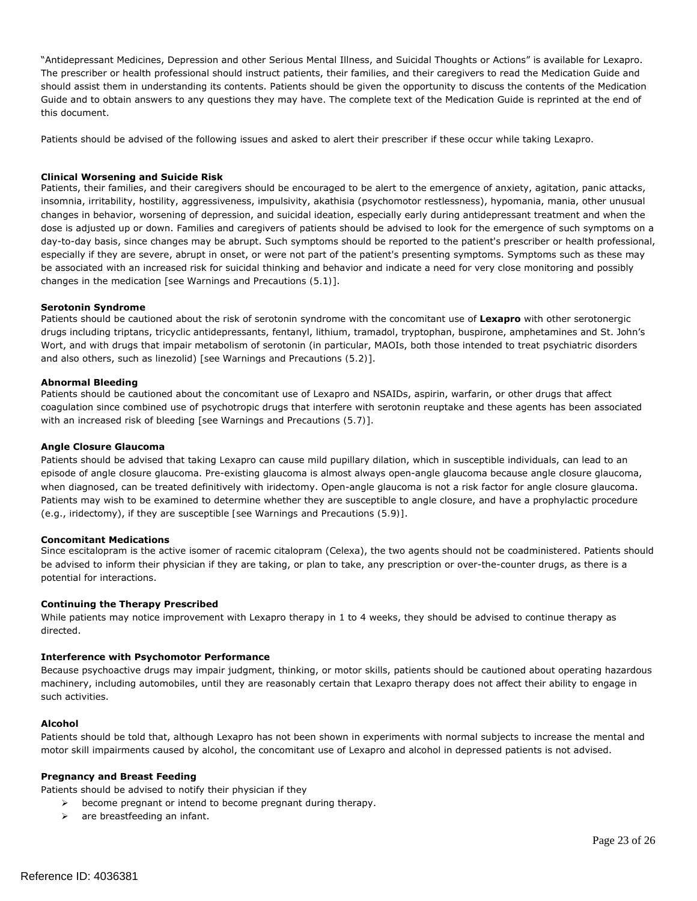"Antidepressant Medicines, Depression and other Serious Mental Illness, and Suicidal Thoughts or Actions" is available for Lexapro. The prescriber or health professional should instruct patients, their families, and their caregivers to read the Medication Guide and should assist them in understanding its contents. Patients should be given the opportunity to discuss the contents of the Medication Guide and to obtain answers to any questions they may have. The complete text of the Medication Guide is reprinted at the end of this document.

Patients should be advised of the following issues and asked to alert their prescriber if these occur while taking Lexapro.

#### **Clinical Worsening and Suicide Risk**

Patients, their families, and their caregivers should be encouraged to be alert to the emergence of anxiety, agitation, panic attacks, insomnia, irritability, hostility, aggressiveness, impulsivity, akathisia (psychomotor restlessness), hypomania, mania, other unusual changes in behavior, worsening of depression, and suicidal ideation, especially early during antidepressant treatment and when the dose is adjusted up or down. Families and caregivers of patients should be advised to look for the emergence of such symptoms on a day-to-day basis, since changes may be abrupt. Such symptoms should be reported to the patient's prescriber or health professional, especially if they are severe, abrupt in onset, or were not part of the patient's presenting symptoms. Symptoms such as these may be associated with an increased risk for suicidal thinking and behavior and indicate a need for very close monitoring and possibly changes in the medication [*see Warnings and Precautions (5.1)*].

#### **Serotonin Syndrome**

Patients should be cautioned about the risk of serotonin syndrome with the concomitant use of **Lexapro** with other serotonergic drugs including triptans, tricyclic antidepressants, fentanyl, lithium, tramadol, tryptophan, buspirone, amphetamines and St. John's Wort, and with drugs that impair metabolism of serotonin (in particular, MAOIs, both those intended to treat psychiatric disorders and also others, such as linezolid) [*see Warnings and Precautions (5.2)*].

#### **Abnormal Bleeding**

Patients should be cautioned about the concomitant use of Lexapro and NSAIDs, aspirin, warfarin, or other drugs that affect coagulation since combined use of psychotropic drugs that interfere with serotonin reuptake and these agents has been associated with an increased risk of bleeding [*see Warnings and Precautions (5.7)*].

#### **Angle Closure Glaucoma**

Patients should be advised that taking Lexapro can cause mild pupillary dilation, which in susceptible individuals, can lead to an episode of angle closure glaucoma. Pre-existing glaucoma is almost always open-angle glaucoma because angle closure glaucoma, when diagnosed, can be treated definitively with iridectomy. Open-angle glaucoma is not a risk factor for angle closure glaucoma. Patients may wish to be examined to determine whether they are susceptible to angle closure, and have a prophylactic procedure (e.g., iridectomy), if they are susceptible *[see Warnings and Precautions (5.9)]*.

#### **Concomitant Medications**

Since escitalopram is the active isomer of racemic citalopram (Celexa), the two agents should not be coadministered. Patients should be advised to inform their physician if they are taking, or plan to take, any prescription or over-the-counter drugs, as there is a potential for interactions.

#### **Continuing the Therapy Prescribed**

While patients may notice improvement with Lexapro therapy in 1 to 4 weeks, they should be advised to continue therapy as directed.

#### **Interference with Psychomotor Performance**

Because psychoactive drugs may impair judgment, thinking, or motor skills, patients should be cautioned about operating hazardous machinery, including automobiles, until they are reasonably certain that Lexapro therapy does not affect their ability to engage in such activities.

#### **Alcohol**

Patients should be told that, although Lexapro has not been shown in experiments with normal subjects to increase the mental and motor skill impairments caused by alcohol, the concomitant use of Lexapro and alcohol in depressed patients is not advised.

#### **Pregnancy and Breast Feeding**

Patients should be advised to notify their physician if they

- $\triangleright$  become pregnant or intend to become pregnant during therapy.
- $\triangleright$  are breastfeeding an infant.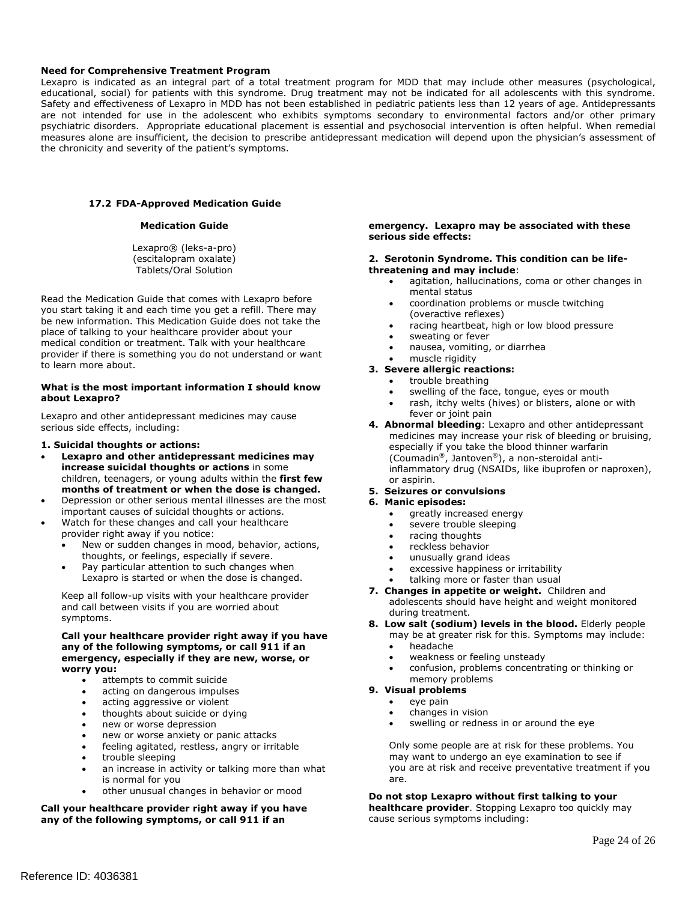#### **Need for Comprehensive Treatment Program**

Lexapro is indicated as an integral part of a total treatment program for MDD that may include other measures (psychological, educational, social) for patients with this syndrome. Drug treatment may not be indicated for all adolescents with this syndrome. Safety and effectiveness of Lexapro in MDD has not been established in pediatric patients less than 12 years of age. Antidepressants are not intended for use in the adolescent who exhibits symptoms secondary to environmental factors and/or other primary psychiatric disorders. Appropriate educational placement is essential and psychosocial intervention is often helpful. When remedial measures alone are insufficient, the decision to prescribe antidepressant medication will depend upon the physician's assessment of the chronicity and severity of the patient's symptoms.

# **17.2 FDA-Approved Medication Guide Medication Guide**

(escitalopram oxalate) Lexapro® (leks-a-pro) Tablets/Oral Solution

Read the Medication Guide that comes with Lexapro before you start taking it and each time you get a refill. There may be new information. This Medication Guide does not take the place of talking to your healthcare provider about your medical condition or treatment. Talk with your healthcare provider if there is something you do not understand or want to learn more about.

#### **What is the most important information I should know about Lexapro?**

 serious side effects, including: Lexapro and other antidepressant medicines may cause

#### **1. Suicidal thoughts or actions:**

- **Lexapro and other antidepressant medicines may increase suicidal thoughts or actions** in some children, teenagers, or young adults within the **first few months of treatment or when the dose is changed.**
- Depression or other serious mental illnesses are the most important causes of suicidal thoughts or actions.
- Watch for these changes and call your healthcare provider right away if you notice:
	- New or sudden changes in mood, behavior, actions, thoughts, or feelings, especially if severe.
	- Pay particular attention to such changes when Lexapro is started or when the dose is changed.

Keep all follow-up visits with your healthcare provider and call between visits if you are worried about symptoms.

#### **Call your healthcare provider right away if you have any of the following symptoms, or call 911 if an emergency, especially if they are new, worse, or worry you:**

- attempts to commit suicide
- acting on dangerous impulses
- acting aggressive or violent
- thoughts about suicide or dying
- new or worse depression
- new or worse anxiety or panic attacks
- feeling agitated, restless, angry or irritable
- trouble sleeping
- an increase in activity or talking more than what is normal for you
- other unusual changes in behavior or mood

#### **Call your healthcare provider right away if you have any of the following symptoms, or call 911 if an**

#### **emergency. Lexapro may be associated with these serious side effects:**

#### **2. Serotonin Syndrome. This condition can be lifethreatening and may include**:

- agitation, hallucinations, coma or other changes in mental status
- coordination problems or muscle twitching (overactive reflexes)
- racing heartbeat, high or low blood pressure
- sweating or fever
- nausea, vomiting, or diarrhea
- muscle rigidity
- **3. Severe allergic reactions:** 
	- trouble breathing
	- swelling of the face, tongue, eyes or mouth
	- rash, itchy welts (hives) or blisters, alone or with fever or joint pain
- **4. Abnormal bleeding**: Lexapro and other antidepressant medicines may increase your risk of bleeding or bruising, especially if you take the blood thinner warfarin (Coumadin®, Jantoven®), a non-steroidal antiinflammatory drug (NSAIDs, like ibuprofen or naproxen), or aspirin.
- **5. Seizures or convulsions**

#### **6. Manic episodes:**

- greatly increased energy
- severe trouble sleeping
- racing thoughts
- reckless behavior
- unusually grand ideas
- excessive happiness or irritability
- talking more or faster than usual
- **7. Changes in appetite or weight.** Children and adolescents should have height and weight monitored during treatment.
- **8. Low salt (sodium) levels in the blood.** Elderly people may be at greater risk for this. Symptoms may include:
	- headache
	- weakness or feeling unsteady
	- confusion, problems concentrating or thinking or memory problems
- **9. Visual problems** 
	- eye pain
	- changes in vision
	- swelling or redness in or around the eye

Only some people are at risk for these problems. You may want to undergo an eye examination to see if you are at risk and receive preventative treatment if you are.

### **Do not stop Lexapro without first talking to your**

 cause serious symptoms including: **healthcare provider**. Stopping Lexapro too quickly may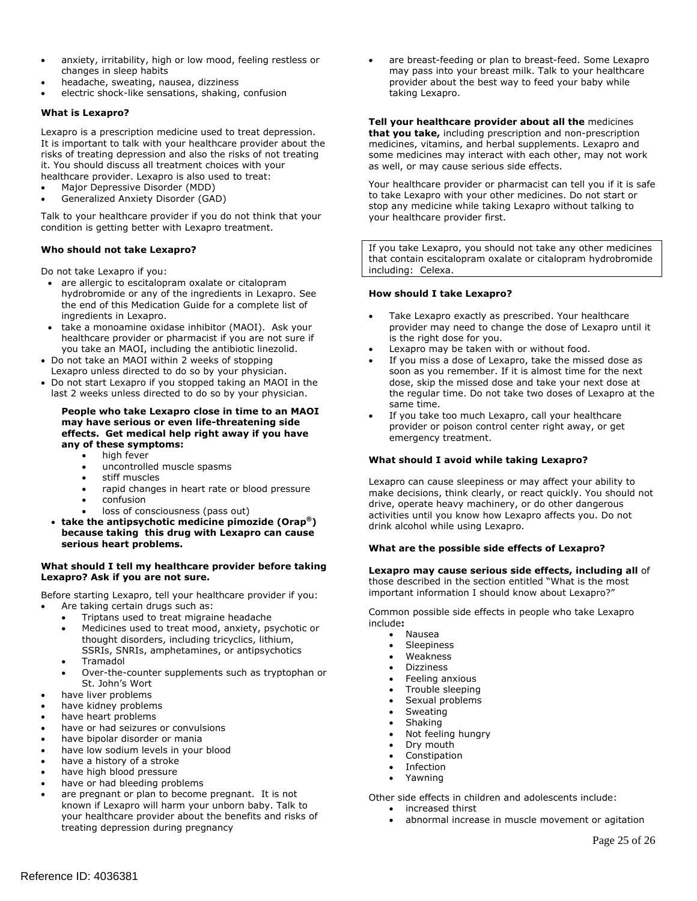- anxiety, irritability, high or low mood, feeling restless or changes in sleep habits
- headache, sweating, nausea, dizziness
- electric shock-like sensations, shaking, confusion

#### **What is Lexapro?**

Lexapro is a prescription medicine used to treat depression. It is important to talk with your healthcare provider about the risks of treating depression and also the risks of not treating it. You should discuss all treatment choices with your healthcare provider. Lexapro is also used to treat:

Major Depressive Disorder (MDD)

Generalized Anxiety Disorder (GAD)

Talk to your healthcare provider if you do not think that your condition is getting better with Lexapro treatment.

#### **Who should not take Lexapro?**

Do not take Lexapro if you:

- ingredients in Lexapro. are allergic to escitalopram oxalate or citalopram hydrobromide or any of the ingredients in Lexapro. See the end of this Medication Guide for a complete list of
- take a monoamine oxidase inhibitor (MAOI). Ask your healthcare provider or pharmacist if you are not sure if you take an MAOI, including the antibiotic linezolid.
- Do not take an MAOI within 2 weeks of stopping Lexapro unless directed to do so by your physician.
- Do not start Lexapro if you stopped taking an MAOI in the last 2 weeks unless directed to do so by your physician.

#### **People who take Lexapro close in time to an MAOI any of these symptoms: may have serious or even life-threatening side effects. Get medical help right away if you have**

- high fever
- uncontrolled muscle spasms
- stiff muscles
- rapid changes in heart rate or blood pressure
- confusion
- loss of consciousness (pass out)
- **because taking this drug with Lexapro can cause**  serious heart problems. **take the antipsychotic medicine pimozide (Orap®)**

#### What should I tell my healthcare provider before taking **Lexapro? Ask if you are not sure.**

Before starting Lexapro, tell your healthcare provider if you: Are taking certain drugs such as:

- 
- Triptans used to treat migraine headache Medicines used to treat mood, anxiety, psychotic or
- thought disorders, including tricyclics, lithium, SSRIs, SNRIs, amphetamines, or antipsychotics
- Tramadol
- Over-the-counter supplements such as tryptophan or St. John's Wort
- have liver problems
- have kidney problems
- have heart problems
- have or had seizures or convulsions
- have bipolar disorder or mania
- have low sodium levels in your blood
- have a history of a stroke
- have high blood pressure
- have or had bleeding problems
- are pregnant or plan to become pregnant. It is not known if Lexapro will harm your unborn baby. Talk to your healthcare provider about the benefits and risks of treating depression during pregnancy

 are breast-feeding or plan to breast-feed. Some Lexapro may pass into your breast milk. Talk to your healthcare provider about the best way to feed your baby while taking Lexapro.

**Tell your healthcare provider about all the** medicines **that you take,** including prescription and non-prescription medicines, vitamins, and herbal supplements. Lexapro and some medicines may interact with each other, may not work as well, or may cause serious side effects.

Your healthcare provider or pharmacist can tell you if it is safe to take Lexapro with your other medicines. Do not start or stop any medicine while taking Lexapro without talking to your healthcare provider first.

If you take Lexapro, you should not take any other medicines that contain escitalopram oxalate or citalopram hydrobromide including: Celexa.

#### **How should I take Lexapro?**

- Take Lexapro exactly as prescribed. Your healthcare provider may need to change the dose of Lexapro until it is the right dose for you.
- Lexapro may be taken with or without food.
- If you miss a dose of Lexapro, take the missed dose as soon as you remember. If it is almost time for the next dose, skip the missed dose and take your next dose at the regular time. Do not take two doses of Lexapro at the same time.
- If you take too much Lexapro, call your healthcare provider or poison control center right away, or get emergency treatment.

#### **What should I avoid while taking Lexapro?**

 activities until you know how Lexapro affects you. Do not Lexapro can cause sleepiness or may affect your ability to make decisions, think clearly, or react quickly. You should not drive, operate heavy machinery, or do other dangerous drink alcohol while using Lexapro.

#### **What are the possible side effects of Lexapro?**

#### **Lexapro may cause serious side effects, including all** of those described in the section entitled "What is the most important information I should know about Lexapro?"

Common possible side effects in people who take Lexapro include**:** 

- Nausea
- Sleepiness
- Weakness
- Dizziness
- Feeling anxious
- Trouble sleeping
- Sexual problems
- Sweating
- Shaking
- Not feeling hungry
- Dry mouth
- Constipation
- Infection
- Yawning

Other side effects in children and adolescents include:

- increased thirst
- abnormal increase in muscle movement or agitation